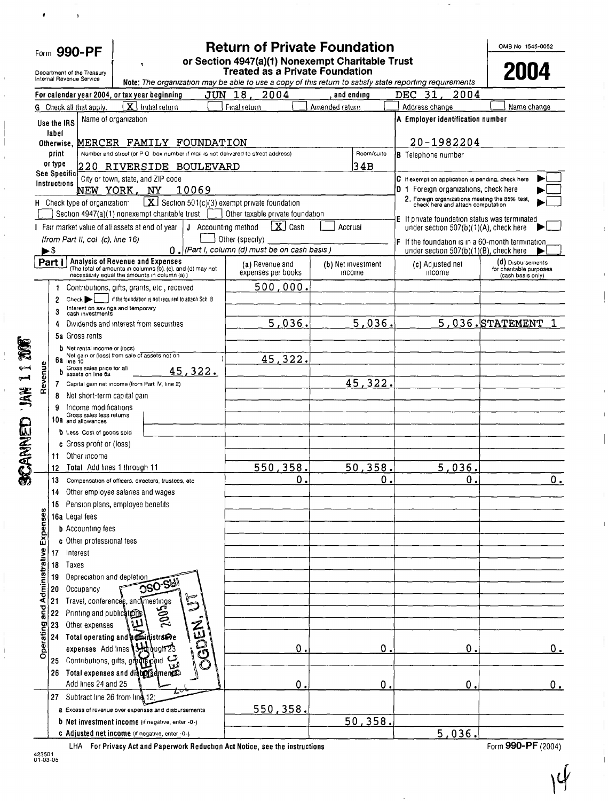| Form 990-PF    |                                                                                     |                         |                                                                                    |     | <b>Return of Private Foundation</b><br>or Section 4947(a)(1) Nonexempt Charitable Trust                                 |                                                                               |                                                                                                                                                   |                    | OMB No 1545-0052                                  |                                                                                            |                                              |  |
|----------------|-------------------------------------------------------------------------------------|-------------------------|------------------------------------------------------------------------------------|-----|-------------------------------------------------------------------------------------------------------------------------|-------------------------------------------------------------------------------|---------------------------------------------------------------------------------------------------------------------------------------------------|--------------------|---------------------------------------------------|--------------------------------------------------------------------------------------------|----------------------------------------------|--|
|                | Department of the Treasury<br>Internal Revenue Service                              |                         |                                                                                    |     |                                                                                                                         |                                                                               | <b>Treated as a Private Foundation</b><br>Note: The organization may be able to use a copy of this return to satisfy state reporting requirements |                    |                                                   |                                                                                            | 2004                                         |  |
|                |                                                                                     |                         | For calendar year 2004, or tax year beginning                                      |     |                                                                                                                         | JUN 18,                                                                       | 2004                                                                                                                                              | , and ending       |                                                   | <b>DEC</b><br>-31<br>2004                                                                  |                                              |  |
|                |                                                                                     |                         | G Check all that apply.                                                            | Ιx. | Initial return                                                                                                          | Final return                                                                  |                                                                                                                                                   | Amended return     |                                                   | Address change                                                                             | Name change                                  |  |
|                |                                                                                     | Use the IRS             | Name of organization                                                               |     |                                                                                                                         |                                                                               |                                                                                                                                                   |                    |                                                   | A Employer identification number                                                           |                                              |  |
|                |                                                                                     | label                   |                                                                                    |     |                                                                                                                         |                                                                               |                                                                                                                                                   |                    |                                                   |                                                                                            |                                              |  |
|                |                                                                                     | print                   |                                                                                    |     | Otherwise, MERCER FAMILY FOUNDATION<br>Number and street (or P O box number if mail is not delivered to street address) |                                                                               |                                                                                                                                                   | Room/suite         |                                                   | 20-1982204                                                                                 |                                              |  |
|                |                                                                                     | or type                 |                                                                                    |     |                                                                                                                         |                                                                               |                                                                                                                                                   | 34B                |                                                   | <b>B</b> Telephone number                                                                  |                                              |  |
|                | 220 RIVERSIDE BOULEVARD<br><b>See Specific</b><br>City or town, state, and ZIP code |                         |                                                                                    |     |                                                                                                                         |                                                                               |                                                                                                                                                   |                    | C If exemption application is pending, check here |                                                                                            |                                              |  |
|                |                                                                                     | Instructions            | NEW YORK, NY                                                                       |     | 10069                                                                                                                   |                                                                               |                                                                                                                                                   |                    |                                                   | D 1 Foreign organizations, check here                                                      |                                              |  |
|                |                                                                                     |                         | H Check type of organization*                                                      |     | $X$ Section 501(c)(3) exempt private foundation                                                                         |                                                                               |                                                                                                                                                   |                    |                                                   | 2. Foreign organizations meeting the 85% test, check here and attach computation           |                                              |  |
|                |                                                                                     |                         |                                                                                    |     | Section 4947(a)(1) nonexempt charitable trust                                                                           |                                                                               | Other taxable private foundation                                                                                                                  |                    |                                                   | E If private foundation status was terminated<br>under section 507(b)(1)(A), check here    |                                              |  |
|                |                                                                                     |                         | Fair market value of all assets at end of year<br>(from Part II, col (c), line 16) |     |                                                                                                                         | $\lfloor x \rfloor$ Cash<br>J Accounting method<br>Accrual<br>Other (specify) |                                                                                                                                                   |                    |                                                   |                                                                                            |                                              |  |
|                |                                                                                     | $\blacktriangleright$ S |                                                                                    |     |                                                                                                                         |                                                                               | 0. (Part I, column (d) must be on cash basis)                                                                                                     |                    |                                                   | F If the foundation is in a 60-month termination<br>under section 507(b)(1)(B), check here |                                              |  |
|                |                                                                                     | Part I                  | <b>Analysis of Revenue and Expenses</b>                                            |     | (The total of amounts in columns (b), (c), and (d) may not                                                              |                                                                               | (a) Revenue and                                                                                                                                   | (b) Net investment |                                                   | (c) Adjusted net                                                                           | (d) Disbursements                            |  |
|                |                                                                                     |                         |                                                                                    |     | necessarily equal the amounts in column (a) )                                                                           |                                                                               | expenses per books                                                                                                                                | income             |                                                   | income                                                                                     | for charitable purposes<br>(cash basis only) |  |
|                |                                                                                     |                         |                                                                                    |     | 1 Contributions, gifts, grants, etc., received                                                                          |                                                                               | 500,000.                                                                                                                                          |                    |                                                   |                                                                                            |                                              |  |
|                |                                                                                     | 2                       | $Check \rightarrow$<br>Interest on savings and temporary                           |     | If the foundation is not required to attach Sch. B                                                                      |                                                                               |                                                                                                                                                   |                    |                                                   |                                                                                            |                                              |  |
|                |                                                                                     | 3<br>4                  | cash investments<br>Dividends and interest from securities                         |     |                                                                                                                         |                                                                               | 5,036.                                                                                                                                            | 5,036.             |                                                   |                                                                                            | 5,036.STATEMENT                              |  |
|                |                                                                                     |                         | 5a Gross rents                                                                     |     |                                                                                                                         |                                                                               |                                                                                                                                                   |                    |                                                   |                                                                                            |                                              |  |
|                |                                                                                     |                         | <b>b</b> Net rental income or (loss)                                               |     |                                                                                                                         |                                                                               |                                                                                                                                                   |                    |                                                   |                                                                                            |                                              |  |
|                |                                                                                     | 6a line 10              | Net gain or (loss) from sale of assets not on<br>Gross sales price for all         |     |                                                                                                                         |                                                                               | 45,322.                                                                                                                                           |                    |                                                   |                                                                                            |                                              |  |
|                |                                                                                     | b                       | assets on line 6a                                                                  |     | 45,322.                                                                                                                 |                                                                               |                                                                                                                                                   | 45,322             |                                                   |                                                                                            |                                              |  |
|                |                                                                                     | 8                       | 7 Capital gain net income (from Part IV, line 2)<br>Net short-term capital gain    |     |                                                                                                                         |                                                                               |                                                                                                                                                   |                    |                                                   |                                                                                            |                                              |  |
| <b>BH 11</b>   |                                                                                     | 9                       | Income modifications                                                               |     |                                                                                                                         |                                                                               |                                                                                                                                                   |                    |                                                   |                                                                                            |                                              |  |
|                |                                                                                     |                         | Gross sales less returns<br>10a and allowances                                     |     |                                                                                                                         |                                                                               |                                                                                                                                                   |                    |                                                   |                                                                                            |                                              |  |
|                |                                                                                     |                         | <b>b</b> Less Cost of goods sold                                                   |     |                                                                                                                         |                                                                               |                                                                                                                                                   |                    |                                                   |                                                                                            |                                              |  |
|                |                                                                                     |                         | c Gross profit or (loss)                                                           |     |                                                                                                                         |                                                                               |                                                                                                                                                   |                    |                                                   |                                                                                            |                                              |  |
|                |                                                                                     | 11.<br>12               | Other income<br>Total Add lines 1 through 11                                       |     |                                                                                                                         |                                                                               | 550, 358.                                                                                                                                         | 50,358.            |                                                   | 5,036.                                                                                     |                                              |  |
| <b>SCANNED</b> |                                                                                     | 13                      |                                                                                    |     | Compensation of officers, directors, trustees, etc.                                                                     |                                                                               | О.                                                                                                                                                |                    | $\mathbf{0}$                                      | 0.1                                                                                        | 0.                                           |  |
|                |                                                                                     | 14                      | Other employee salaries and wages                                                  |     |                                                                                                                         |                                                                               |                                                                                                                                                   |                    |                                                   |                                                                                            |                                              |  |
|                |                                                                                     | 15.                     | Pension plans, employee benefits                                                   |     |                                                                                                                         |                                                                               |                                                                                                                                                   |                    |                                                   |                                                                                            |                                              |  |
|                |                                                                                     |                         | 16a Legal fees                                                                     |     |                                                                                                                         |                                                                               |                                                                                                                                                   |                    |                                                   |                                                                                            |                                              |  |
|                |                                                                                     |                         | <b>b</b> Accounting fees                                                           |     |                                                                                                                         |                                                                               |                                                                                                                                                   |                    |                                                   |                                                                                            |                                              |  |
|                |                                                                                     | 17 Interest             | c Other professional fees                                                          |     |                                                                                                                         |                                                                               |                                                                                                                                                   |                    |                                                   |                                                                                            |                                              |  |
|                | and Administrative Expenses                                                         | 18                      | Taxes                                                                              |     |                                                                                                                         |                                                                               |                                                                                                                                                   |                    |                                                   |                                                                                            |                                              |  |
|                |                                                                                     | 19                      | Depreciation and depletion                                                         |     |                                                                                                                         |                                                                               |                                                                                                                                                   |                    |                                                   |                                                                                            |                                              |  |
|                |                                                                                     | 20                      | Occupancy                                                                          |     | <b>090-SW!</b>                                                                                                          |                                                                               |                                                                                                                                                   |                    |                                                   |                                                                                            |                                              |  |
|                |                                                                                     | 21                      | Travel, conferences, and meetings                                                  |     | 5                                                                                                                       |                                                                               |                                                                                                                                                   |                    |                                                   |                                                                                            |                                              |  |
|                |                                                                                     | 22<br>23                | Printing and publications<br>Other expenses                                        | w   | 2005                                                                                                                    |                                                                               |                                                                                                                                                   |                    |                                                   |                                                                                            |                                              |  |
|                | Operating                                                                           |                         | 24 Total operating and administrative                                              |     |                                                                                                                         |                                                                               |                                                                                                                                                   |                    |                                                   |                                                                                            |                                              |  |
|                |                                                                                     |                         | expenses Add lines 144 bught 23                                                    |     |                                                                                                                         |                                                                               | $\mathbf 0$                                                                                                                                       |                    | $\mathbf 0$ .                                     | 0.                                                                                         | Ο.                                           |  |
|                |                                                                                     |                         | 25 Contributions, gifts, grandpaid                                                 |     | OGDEN.                                                                                                                  |                                                                               |                                                                                                                                                   |                    |                                                   |                                                                                            |                                              |  |
|                |                                                                                     |                         | 26 Total expenses and distings dments.                                             |     |                                                                                                                         |                                                                               |                                                                                                                                                   |                    |                                                   |                                                                                            |                                              |  |
|                |                                                                                     |                         | Add lines 24 and 25                                                                |     |                                                                                                                         |                                                                               | 0.                                                                                                                                                |                    | 0.                                                | $\mathbf 0$ .                                                                              | Ο.                                           |  |
|                |                                                                                     |                         | 27 Subtract line 26 from line 12:                                                  |     | a Excess of revenue over expenses and disbursements                                                                     |                                                                               | 550,358.                                                                                                                                          |                    |                                                   |                                                                                            |                                              |  |
|                |                                                                                     |                         |                                                                                    |     | b Net investment income (if negative, enter -0-)                                                                        |                                                                               |                                                                                                                                                   | 50, 358.           |                                                   |                                                                                            |                                              |  |
|                |                                                                                     |                         |                                                                                    |     | G Adjusted net income (if negative, enter -0-)                                                                          |                                                                               |                                                                                                                                                   |                    |                                                   | 5,036.                                                                                     |                                              |  |

LHA For Privacy Act and Paperwork Reduction Act Notice, see the instructions

4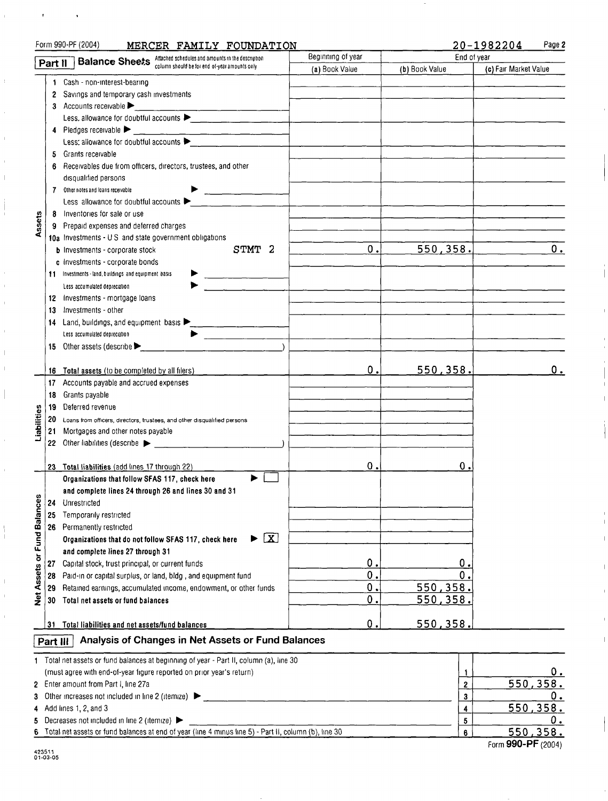|                             | <b>Balance Sheets</b> Attached schedules and amounts in the description<br>Part II | Beginning of year                                                                                     | End of year    |                 |                       |
|-----------------------------|------------------------------------------------------------------------------------|-------------------------------------------------------------------------------------------------------|----------------|-----------------|-----------------------|
|                             |                                                                                    |                                                                                                       | (a) Book Value | (b) Book Value  | (c) Fair Market Value |
|                             | 1.                                                                                 | Cash - non-interest-bearing                                                                           |                |                 |                       |
|                             | $\mathbf{2}$                                                                       | Savings and temporary cash investments                                                                |                |                 |                       |
|                             |                                                                                    | 3 Accounts receivable $\blacktriangleright$                                                           |                |                 |                       |
|                             |                                                                                    | Less, allowance for doubtful accounts                                                                 |                |                 |                       |
|                             | 4                                                                                  | Pledges receivable $\blacktriangleright$                                                              |                |                 |                       |
|                             |                                                                                    | Less: allowance for doubtful accounts $\blacktriangleright$                                           |                |                 |                       |
|                             | 5                                                                                  | Grants receivable                                                                                     |                |                 |                       |
|                             | 6                                                                                  | Receivables due from officers, directors, trustees, and other                                         |                |                 |                       |
|                             |                                                                                    | disqualified persons                                                                                  |                |                 |                       |
|                             |                                                                                    | 7 Other notes and loans receivable                                                                    |                |                 |                       |
|                             |                                                                                    | Less allowance for doubtful accounts $\blacktriangleright$                                            |                |                 |                       |
|                             |                                                                                    |                                                                                                       |                |                 |                       |
| Assets                      | 8                                                                                  | Inventories for sale or use                                                                           |                |                 |                       |
|                             | 9                                                                                  | Prepaid expenses and deferred charges                                                                 |                |                 |                       |
|                             |                                                                                    | 10a Investments - U.S. and state government obligations                                               |                |                 |                       |
|                             |                                                                                    | STMT 2<br><b>b</b> Investments - corporate stock                                                      | 0.             | 550, 358.       | 0.                    |
|                             |                                                                                    | c Investments - corporate bonds                                                                       |                |                 |                       |
|                             |                                                                                    | 11 Investments - land, buildings and equipment basis                                                  |                |                 |                       |
|                             |                                                                                    | Less accumulated depreciation                                                                         |                |                 |                       |
|                             | 12                                                                                 | Investments - mortgage loans                                                                          |                |                 |                       |
|                             | 13                                                                                 | Investments - other                                                                                   |                |                 |                       |
|                             | 14                                                                                 | Land, buildings, and equipment basis $\blacktriangleright$                                            |                |                 |                       |
|                             |                                                                                    | Less accumulated depreciation                                                                         |                |                 |                       |
|                             |                                                                                    | 15 Other assets (describe                                                                             |                |                 |                       |
|                             |                                                                                    |                                                                                                       |                |                 |                       |
|                             |                                                                                    | 16 Total assets (to be completed by all filers)                                                       | 0.             | <u>550,358.</u> | 0.                    |
|                             | 17                                                                                 | Accounts payable and accrued expenses                                                                 |                |                 |                       |
|                             | 18                                                                                 | Grants payable                                                                                        |                |                 |                       |
|                             | 19                                                                                 | Deferred revenue                                                                                      |                |                 |                       |
| Liabilities                 | 20                                                                                 | Loans from officers, directors, trustees, and other disqualified persons                              |                |                 |                       |
|                             | 21                                                                                 | Mortgages and other notes payable                                                                     |                |                 |                       |
|                             |                                                                                    | 22 Other liabilities (describe $\blacktriangleright$                                                  |                |                 |                       |
|                             |                                                                                    |                                                                                                       |                |                 |                       |
|                             |                                                                                    | 23 Total liabilities (add lines 17 through 22)                                                        | ο.             | О.              |                       |
|                             |                                                                                    | Organizations that follow SFAS 117, check here                                                        |                |                 |                       |
|                             |                                                                                    | and complete lines 24 through 26 and lines 30 and 31                                                  |                |                 |                       |
|                             | 24                                                                                 | Unrestricted                                                                                          |                |                 |                       |
|                             | 25                                                                                 | Temporarily restricted                                                                                |                |                 |                       |
|                             |                                                                                    |                                                                                                       |                |                 |                       |
|                             |                                                                                    | 26 Permanently restricted<br>$\blacktriangleright \Box$                                               |                |                 |                       |
|                             |                                                                                    | Organizations that do not follow SFAS 117, check here                                                 |                |                 |                       |
|                             |                                                                                    | and complete lines 27 through 31                                                                      |                |                 |                       |
|                             | 27                                                                                 | Capital stock, trust principal, or current funds                                                      | $\mathbf 0$ .  | О.              |                       |
| Net Assets or Fund Balances | 28                                                                                 | Paid-in or capital surplus, or land, bldg, and equipment fund                                         | $\mathbf 0$ .  | 0               |                       |
|                             | 29                                                                                 | Retained earnings, accumulated income, endowment, or other funds                                      | $\mathbf 0$ .  | 550, 358.       |                       |
|                             | 30                                                                                 | Total net assets or fund balances                                                                     | $\mathbf 0$ .  | <u>550,358.</u> |                       |
|                             |                                                                                    |                                                                                                       |                |                 |                       |
|                             |                                                                                    | 31 Total liabilities and net assets/fund balances                                                     | О.             | 550,358.        |                       |
|                             | Part III                                                                           | Analysis of Changes in Net Assets or Fund Balances                                                    |                |                 |                       |
|                             |                                                                                    | Total net assets or fund balances at beginning of year - Part II, column (a), line 30                 |                |                 |                       |
| 1.                          |                                                                                    |                                                                                                       |                |                 | 0.                    |
|                             |                                                                                    | (must agree with end-of-year figure reported on prior year's return)                                  | 1              | 550,358.        |                       |
|                             |                                                                                    | 2 Enter amount from Part I, line 27a                                                                  |                | 2               |                       |
| 3                           |                                                                                    | Other increases not included in line 2 (itemize)                                                      |                | 3               | О.                    |
| 4                           |                                                                                    | Add lines 1, 2, and 3                                                                                 |                | 4               | 550, 358.             |
| 5.                          |                                                                                    | Decreases not included in line 2 (itemize)                                                            |                | 5               | <u>0.</u>             |
| 6                           |                                                                                    | Total net assets or fund balances at end of year (line 4 minus line 5) - Part II, column (b), line 30 |                | 6               | 550, 358.             |

Form 990-PF

 $\bullet$ 

MERCER FAMILY FOUNDATION

 $\pmb{\cdot}$ 

 $\bar{\mathbb{F}}$ 

 $\bar{V}$ 

 $\overline{\phantom{a}}$ 

İ

 $\overline{1}$ 

 $\begin{array}{c} \hline \end{array}$  $\overline{1}$ 

 $\overline{\phantom{a}}$ 

 $\overline{1}$ 

 $\bar{1}$ 

 $\frac{1}{1}$ 

 $\mathbf{I}$ 

 $\mathbf{r}$ 

Form 990-PF (2004)

20-1982204 Page 2

 $\overline{\phantom{a}}$ 

 $\overline{1}$ 

 $\mathbb T$ 

 $\overline{1}$ 

 $\mathbf{I}$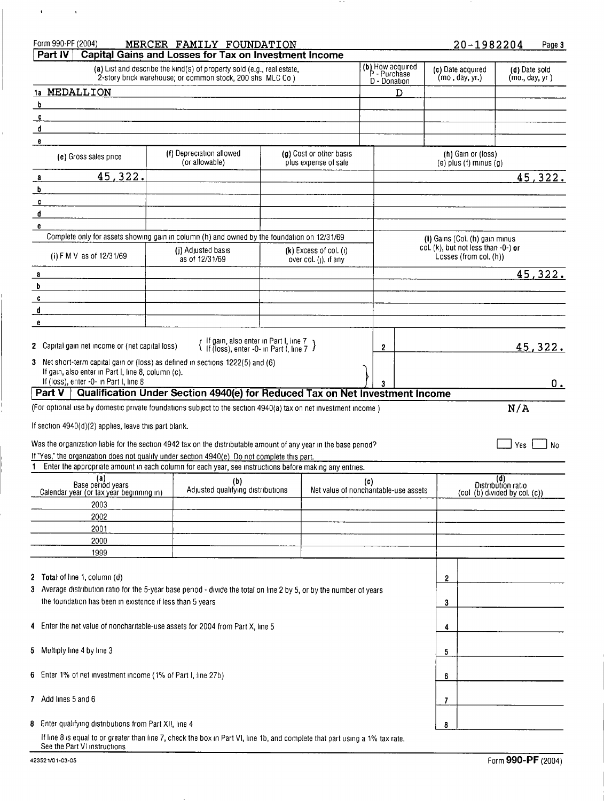| Form 990-PF (2004)                                                                                                                                           | MERCER FAMILY FOUNDATION                                                                                                            |                                                 |              |                                  |                                                               | 20-1982204         |                                | Page 3      |
|--------------------------------------------------------------------------------------------------------------------------------------------------------------|-------------------------------------------------------------------------------------------------------------------------------------|-------------------------------------------------|--------------|----------------------------------|---------------------------------------------------------------|--------------------|--------------------------------|-------------|
| Part IV                                                                                                                                                      | Capital Gains and Losses for Tax on Investment Income                                                                               |                                                 |              |                                  |                                                               |                    |                                |             |
|                                                                                                                                                              | (a) List and describe the kind(s) of property sold (e.g., real estate,<br>2-story brick warehouse; or common stock, 200 shs MLC Co) |                                                 | D - Donation | (b) How acquired<br>P - Purchase | (c) Date acquired<br>(mo, day, yr.)                           |                    | (d) Date sold<br>(mo, day, yr) |             |
| 1a MEDALLION                                                                                                                                                 |                                                                                                                                     |                                                 |              | D                                |                                                               |                    |                                |             |
| b                                                                                                                                                            |                                                                                                                                     |                                                 |              |                                  |                                                               |                    |                                |             |
| $\mathbf{c}$                                                                                                                                                 |                                                                                                                                     |                                                 |              |                                  |                                                               |                    |                                |             |
| d                                                                                                                                                            |                                                                                                                                     |                                                 |              |                                  |                                                               |                    |                                |             |
| e                                                                                                                                                            |                                                                                                                                     |                                                 |              |                                  |                                                               |                    |                                |             |
| (e) Gross sales price                                                                                                                                        | (f) Depreciation allowed<br>(or allowable)                                                                                          | (g) Cost or other basis<br>plus expense of sale |              |                                  | (h) Gain or (loss)<br>$(e)$ plus $(f)$ minus $(g)$            |                    |                                |             |
| 45,322.<br>$\mathbf{a}$                                                                                                                                      |                                                                                                                                     |                                                 |              |                                  |                                                               |                    |                                | 45,322.     |
| b                                                                                                                                                            |                                                                                                                                     |                                                 |              |                                  |                                                               |                    |                                |             |
| c                                                                                                                                                            |                                                                                                                                     |                                                 |              |                                  |                                                               |                    |                                |             |
| d                                                                                                                                                            |                                                                                                                                     |                                                 |              |                                  |                                                               |                    |                                |             |
| e                                                                                                                                                            |                                                                                                                                     |                                                 |              |                                  |                                                               |                    |                                |             |
| Complete only for assets showing gain in column (h) and owned by the foundation on 12/31/69                                                                  |                                                                                                                                     |                                                 |              |                                  | (I) Gains (Col. (h) gain minus                                |                    |                                |             |
| (i) F M V as of 12/31/69                                                                                                                                     | (j) Adjusted basis<br>as of 12/31/69                                                                                                | (k) Excess of col. (i)<br>over col. (i), if any |              |                                  | col. (k), but not less than -0-) or<br>Losses (from col. (h)) |                    |                                |             |
| a                                                                                                                                                            |                                                                                                                                     |                                                 |              |                                  |                                                               |                    |                                | 45,322.     |
| b                                                                                                                                                            |                                                                                                                                     |                                                 |              |                                  |                                                               |                    |                                |             |
| c                                                                                                                                                            |                                                                                                                                     |                                                 |              |                                  |                                                               |                    |                                |             |
| đ                                                                                                                                                            |                                                                                                                                     |                                                 |              |                                  |                                                               |                    |                                |             |
| e                                                                                                                                                            |                                                                                                                                     |                                                 |              |                                  |                                                               |                    |                                |             |
| 2 Capital gain net income or (net capital loss)                                                                                                              | { If gain, also enter in Part I, line 7<br>If (loss), enter -0- in Part I, line 7 }                                                 |                                                 | $\mathbf{2}$ |                                  |                                                               |                    |                                | 45,322.     |
| 3 Net short-term capital gain or (loss) as defined in sections 1222(5) and (6)                                                                               |                                                                                                                                     |                                                 |              |                                  |                                                               |                    |                                |             |
| If gain, also enter in Part I, line 8, column (c).                                                                                                           |                                                                                                                                     |                                                 |              |                                  |                                                               |                    |                                |             |
| If (loss), enter -0- in Part I, line 8                                                                                                                       |                                                                                                                                     |                                                 |              |                                  |                                                               |                    |                                | $0_{\cdot}$ |
| Part V                                                                                                                                                       | Qualification Under Section 4940(e) for Reduced Tax on Net Investment Income                                                        |                                                 |              |                                  |                                                               |                    |                                |             |
| (For optional use by domestic private foundations subject to the section 4940(a) tax on net investment income)                                               |                                                                                                                                     |                                                 |              |                                  |                                                               |                    | N/A                            |             |
|                                                                                                                                                              |                                                                                                                                     |                                                 |              |                                  |                                                               |                    |                                |             |
| If section 4940(d)(2) applies, leave this part blank.                                                                                                        |                                                                                                                                     |                                                 |              |                                  |                                                               |                    |                                |             |
| Was the organization liable for the section 4942 tax on the distributable amount of any year in the base period?                                             |                                                                                                                                     |                                                 |              |                                  |                                                               |                    | Yes                            | No          |
| If "Yes," the organization does not qualify under section 4940(e) Do not complete this part.                                                                 |                                                                                                                                     |                                                 |              |                                  |                                                               |                    |                                |             |
| 1 Enter the appropriate amount in each column for each year, see instructions before making any entries.                                                     |                                                                                                                                     |                                                 |              |                                  |                                                               |                    |                                |             |
| (a)                                                                                                                                                          | (b)                                                                                                                                 |                                                 | (c)          |                                  |                                                               | (d)                |                                |             |
| Base periód years<br>Calendar year (or tax year beginning in)                                                                                                | Adjusted qualifying distributions                                                                                                   | Net value of noncharitable-use assets           |              |                                  |                                                               | Distribution ratio | (col (b) divided by col. (c))  |             |
| 2003                                                                                                                                                         |                                                                                                                                     |                                                 |              |                                  |                                                               |                    |                                |             |
| 2002                                                                                                                                                         |                                                                                                                                     |                                                 |              |                                  |                                                               |                    |                                |             |
| 2001                                                                                                                                                         |                                                                                                                                     |                                                 |              |                                  |                                                               |                    |                                |             |
| 2000                                                                                                                                                         |                                                                                                                                     |                                                 |              |                                  |                                                               |                    |                                |             |
| 1999                                                                                                                                                         |                                                                                                                                     |                                                 |              |                                  |                                                               |                    |                                |             |
|                                                                                                                                                              |                                                                                                                                     |                                                 |              |                                  |                                                               |                    |                                |             |
| 2 Total of line 1, column (d)                                                                                                                                |                                                                                                                                     |                                                 |              |                                  | 2                                                             |                    |                                |             |
| 3 Average distribution ratio for the 5-year base period - divide the total on line 2 by 5, or by the number of years                                         |                                                                                                                                     |                                                 |              |                                  |                                                               |                    |                                |             |
| the foundation has been in existence if less than 5 years                                                                                                    |                                                                                                                                     |                                                 |              |                                  | 3                                                             |                    |                                |             |
|                                                                                                                                                              |                                                                                                                                     |                                                 |              |                                  |                                                               |                    |                                |             |
| 4 Enter the net value of noncharitable-use assets for 2004 from Part X, line 5                                                                               |                                                                                                                                     |                                                 |              |                                  | 4                                                             |                    |                                |             |
|                                                                                                                                                              |                                                                                                                                     |                                                 |              |                                  |                                                               |                    |                                |             |
| 5 Multiply line 4 by line 3                                                                                                                                  |                                                                                                                                     |                                                 |              |                                  | 5                                                             |                    |                                |             |
|                                                                                                                                                              |                                                                                                                                     |                                                 |              |                                  |                                                               |                    |                                |             |
| 6 Enter 1% of net investment income (1% of Part I, line 27b)                                                                                                 |                                                                                                                                     |                                                 |              |                                  | 6                                                             |                    |                                |             |
|                                                                                                                                                              |                                                                                                                                     |                                                 |              |                                  |                                                               |                    |                                |             |
| 7 Add lines 5 and 6                                                                                                                                          |                                                                                                                                     |                                                 |              |                                  | 7                                                             |                    |                                |             |
|                                                                                                                                                              |                                                                                                                                     |                                                 |              |                                  |                                                               |                    |                                |             |
| 8 Enter qualifying distributions from Part XII, line 4                                                                                                       |                                                                                                                                     |                                                 |              |                                  | 8                                                             |                    |                                |             |
| If line 8 is equal to or greater than line 7, check the box in Part VI, line 1b, and complete that part using a 1% tax rate.<br>See the Part VI instructions |                                                                                                                                     |                                                 |              |                                  |                                                               |                    |                                |             |

 $\sim$   $\sim$ 

 $\mathbf{u} = \mathbf{u} \times \mathbf{u}$ 

í.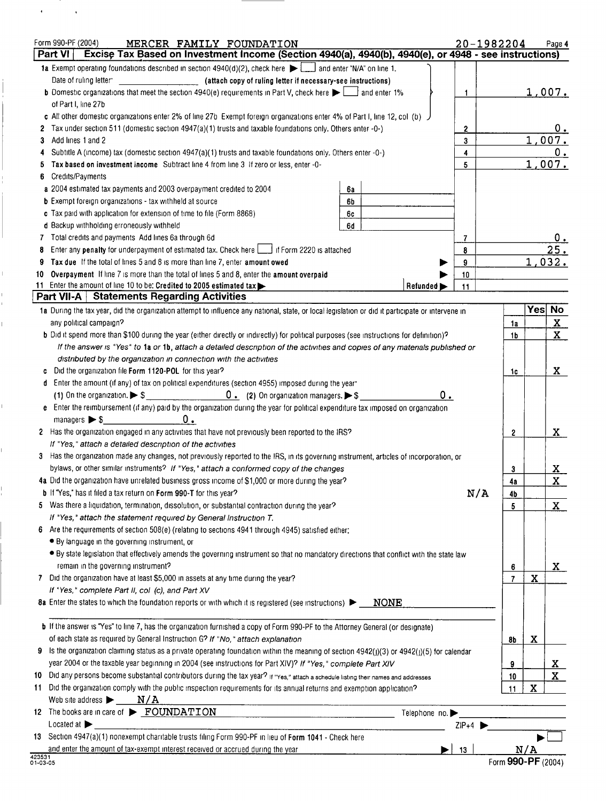|                    | Form 990-PF (2004)<br>MERCER FAMILY FOUNDATION                                                                                                                                      |                                |              | 20-1982204         |            | Page 4                  |
|--------------------|-------------------------------------------------------------------------------------------------------------------------------------------------------------------------------------|--------------------------------|--------------|--------------------|------------|-------------------------|
|                    | Excise Tax Based on Investment Income (Section 4940(a), 4940(b), 4940(e), or 4948 - see instructions)<br>Part VI                                                                    |                                |              |                    |            |                         |
|                    | 1a Exempt operating foundations described in section 4940(d)(2), check here $\blacktriangleright$ and enter "N/A" on line 1.                                                        |                                |              |                    |            |                         |
|                    | Date of ruling letter<br>(attach copy of ruling letter if necessary-see instructions)                                                                                               |                                |              |                    |            |                         |
|                    | <b>b</b> Domestic organizations that meet the section 4940(e) requirements in Part V, check here $\blacktriangleright$ and enter 1%                                                 |                                | 1.           |                    |            | <u>1,007.</u>           |
|                    | of Part I, line 27b                                                                                                                                                                 |                                |              |                    |            |                         |
|                    | c All other domestic organizations enter 2% of line 27b Exempt foreign organizations enter 4% of Part I, line 12, col (b)                                                           |                                |              |                    |            |                         |
|                    | Tax under section 511 (domestic section 4947(a)(1) trusts and taxable foundations only. Others enter -0-)                                                                           |                                | $\mathbf{2}$ |                    |            | 0.                      |
| 3                  | Add lines 1 and 2                                                                                                                                                                   |                                | 3            |                    |            | 1,007.                  |
|                    | Subtitle A (income) tax (domestic section 4947(a)(1) trusts and taxable foundations only. Others enter -0-)                                                                         |                                | 4            |                    |            | 0.                      |
|                    | Tax based on investment income Subtract line 4 from line 3 If zero or less, enter -0-                                                                                               |                                | 5            |                    |            | 1,007.                  |
|                    | Credits/Payments                                                                                                                                                                    |                                |              |                    |            |                         |
|                    | a 2004 estimated tax payments and 2003 overpayment credited to 2004                                                                                                                 | 6а                             |              |                    |            |                         |
|                    | <b>b</b> Exempt foreign organizations - tax withheld at source                                                                                                                      | 6b                             |              |                    |            |                         |
|                    | c Tax paid with application for extension of time to file (Form 8868)                                                                                                               | 6с                             |              |                    |            |                         |
|                    | d Backup withholding erroneously withheld                                                                                                                                           | 6d                             |              |                    |            |                         |
|                    | 7 Total credits and payments Add lines 6a through 6d                                                                                                                                |                                | 7            |                    |            |                         |
| 8                  | Enter any penalty for underpayment of estimated tax. Check here   if Form 2220 is attached                                                                                          |                                | 8            |                    |            | 25.                     |
| 9                  | Tax due If the total of lines 5 and 8 is more than line 7, enter amount owed                                                                                                        |                                | 9            |                    |            | 1,032.                  |
| 10                 | Overpayment If line 7 is more than the total of lines 5 and 8, enter the amount overpaid                                                                                            |                                | 10           |                    |            |                         |
|                    | 11 Enter the amount of line 10 to be: Credited to 2005 estimated tax                                                                                                                | Refunded $\blacktriangleright$ | 11           |                    |            |                         |
|                    | Part VII-A   Statements Regarding Activities                                                                                                                                        |                                |              |                    |            |                         |
|                    | 1a During the tax year, did the organization attempt to influence any national, state, or local legislation or did it participate or intervene in                                   |                                |              |                    | <b>Yes</b> | No                      |
|                    | any political campaign?                                                                                                                                                             |                                |              | 1a                 |            | $\overline{\mathbf{X}}$ |
|                    | <b>b</b> Did it spend more than \$100 during the year (either directly or indirectly) for political purposes (see instructions for definition)?                                     |                                |              | 1b                 |            | $\mathbf{x}$            |
|                    | If the answer is "Yes" to 1a or 1b, attach a detailed description of the activities and copies of any materials published or                                                        |                                |              |                    |            |                         |
|                    | distributed by the organization in connection with the activities                                                                                                                   |                                |              |                    |            |                         |
|                    | Did the organization file Form 1120-POL for this year?                                                                                                                              |                                |              | 1c                 |            | X                       |
|                    | d Enter the amount (if any) of tax on political expenditures (section 4955) imposed during the year                                                                                 |                                |              |                    |            |                         |
|                    | $\begin{array}{c} \begin{array}{c} \begin{array}{c} \end{array} \end{array}$ (2) On organization managers. $\blacktriangleright$ \$<br>(1) On the organization. $\triangleright$ \$ |                                | 0.           |                    |            |                         |
| e                  | Enter the reimbursement (if any) paid by the organization during the year for political expenditure tax imposed on organization                                                     |                                |              |                    |            |                         |
|                    | О.<br>managers $\triangleright$ \$                                                                                                                                                  |                                |              |                    |            |                         |
|                    | 2 Has the organization engaged in any activities that have not previously been reported to the IRS?                                                                                 |                                |              | 2                  |            | X                       |
|                    | If "Yes," attach a detailed description of the activities                                                                                                                           |                                |              |                    |            |                         |
| 3                  | Has the organization made any changes, not previously reported to the IRS, in its governing instrument, articles of incorporation, or                                               |                                |              |                    |            |                         |
|                    | bylaws, or other similar instruments? If "Yes," attach a conformed copy of the changes                                                                                              |                                |              | 3                  |            | <u>x</u>                |
|                    | 4a Did the organization have unrelated business gross income of \$1,000 or more during the year?                                                                                    |                                |              | 4a                 |            | X                       |
|                    | b If "Yes," has it filed a tax return on Form 990-T for this year?                                                                                                                  |                                |              | N/A<br>4b          |            |                         |
| 5                  | Was there a liquidation, termination, dissolution, or substantial contraction during the year?                                                                                      |                                |              | 5                  |            | $\mathbf{X}$            |
|                    | If "Yes," attach the statement required by General Instruction T.                                                                                                                   |                                |              |                    |            |                         |
| 6                  | Are the requirements of section 508(e) (relating to sections 4941 through 4945) satisfied either:                                                                                   |                                |              |                    |            |                         |
|                    | • By language in the governing instrument, or                                                                                                                                       |                                |              |                    |            |                         |
|                    | • By state legislation that effectively amends the governing instrument so that no mandatory directions that conflict with the state law                                            |                                |              |                    |            |                         |
|                    | remain in the governing instrument?                                                                                                                                                 |                                |              | 6                  |            | X                       |
|                    | 7 Did the organization have at least \$5,000 in assets at any time during the year?                                                                                                 |                                |              | $\overline{7}$     | X          |                         |
|                    | If "Yes," complete Part II, col (c), and Part XV                                                                                                                                    |                                |              |                    |            |                         |
|                    | 8a Enter the states to which the foundation reports or with which it is registered (see instructions) >                                                                             | <b>NONE</b>                    |              |                    |            |                         |
|                    |                                                                                                                                                                                     |                                |              |                    |            |                         |
|                    | <b>b</b> If the answer is "Yes" to line 7, has the organization furnished a copy of Form 990-PF to the Attorney General (or designate)                                              |                                |              |                    |            |                         |
|                    | of each state as required by General Instruction G? If "No," attach explanation                                                                                                     |                                |              | 8b                 | x          |                         |
|                    | Is the organization claiming status as a private operating foundation within the meaning of section 4942(j)(3) or 4942(j)(5) for calendar                                           |                                |              |                    |            |                         |
|                    | year 2004 or the taxable year beginning in 2004 (see instructions for Part XIV)? If "Yes," complete Part XIV                                                                        |                                |              | 9                  |            | <u>x_</u>               |
| 10                 | Did any persons become substantial contributors during the tax year? If "Yes," attach a schedule listing their names and addresses                                                  |                                |              | 10                 |            | $\overline{\mathbf{x}}$ |
| 11                 | Did the organization comply with the public inspection requirements for its annual returns and exemption application?                                                               |                                |              | 11                 | X          |                         |
|                    | Web site address $\blacktriangleright$ $\blacksquare$ $\blacksquare$ $\blacksquare$ $\blacksquare$                                                                                  |                                |              |                    |            |                         |
|                    | 12 The books are in care of $\triangleright$ FOUNDATION                                                                                                                             | Telephone no.                  |              |                    |            |                         |
|                    | Located at                                                                                                                                                                          |                                | $ZIP+4$      |                    |            |                         |
|                    | 13 Section 4947(a)(1) nonexempt charitable trusts filing Form 990-PF in lieu of Form 1041 - Check here                                                                              |                                |              |                    |            |                         |
|                    |                                                                                                                                                                                     |                                |              |                    | N/A        |                         |
| 423531<br>01-03-05 | and enter the amount of tax-exempt interest received or accrued during the year                                                                                                     |                                | 13           | Form 990-PF (2004) |            |                         |
|                    |                                                                                                                                                                                     |                                |              |                    |            |                         |

 $\sim 10^{11}$ 

 $\mathcal{L}^{\pm}$ 

I

 $\bar{\Gamma}$ 

 $\begin{array}{c} 1 \\ 1 \end{array}$ 

Ĺ

 $\bar{\mathbb{F}}$ 

 $\mathbb{L}$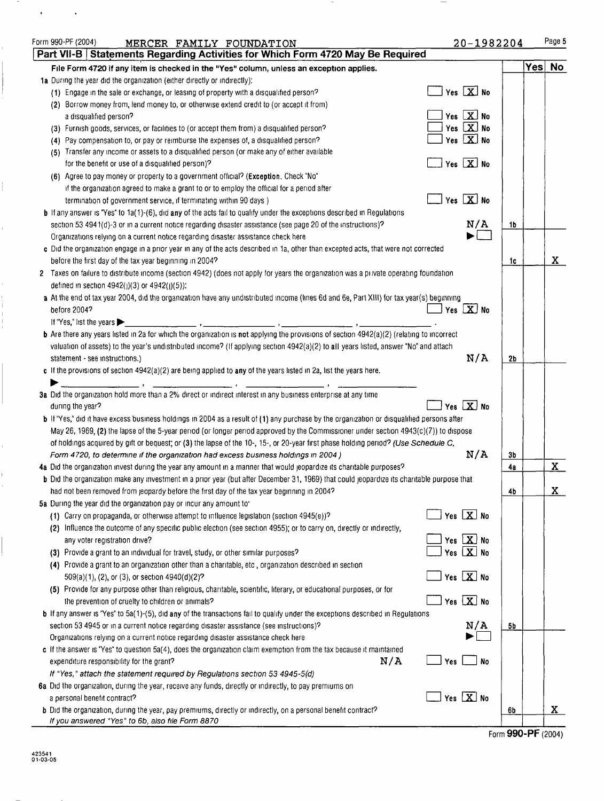| Form 990-PF (2004)<br>MERCER FAMILY FOUNDATION                                                                                                                                                                                                                                                                                                                                                                                                | 20-1982204                   |                |     | Page 5               |
|-----------------------------------------------------------------------------------------------------------------------------------------------------------------------------------------------------------------------------------------------------------------------------------------------------------------------------------------------------------------------------------------------------------------------------------------------|------------------------------|----------------|-----|----------------------|
| Part VII-B   Statements Regarding Activities for Which Form 4720 May Be Required                                                                                                                                                                                                                                                                                                                                                              |                              |                |     |                      |
| File Form 4720 if any item is checked in the "Yes" column, unless an exception applies.                                                                                                                                                                                                                                                                                                                                                       |                              |                | Yes | No                   |
| 1a During the year did the organization (either directly or indirectly):                                                                                                                                                                                                                                                                                                                                                                      |                              |                |     |                      |
| (1) Engage in the sale or exchange, or leasing of property with a disqualified person?                                                                                                                                                                                                                                                                                                                                                        | Yes $X$ No                   |                |     |                      |
| (2) Borrow money from, lend money to, or otherwise extend credit to (or accept it from)                                                                                                                                                                                                                                                                                                                                                       |                              |                |     |                      |
| a disqualified person?                                                                                                                                                                                                                                                                                                                                                                                                                        | Yes $X$ No                   |                |     |                      |
| (3) Furnish goods, services, or facilities to (or accept them from) a disqualified person?                                                                                                                                                                                                                                                                                                                                                    | Yes $X$ No                   |                |     |                      |
| Pay compensation to, or pay or reimburse the expenses of, a disqualified person?<br>(4)                                                                                                                                                                                                                                                                                                                                                       | Yes $\boxed{\mathbf{X}}$ No  |                |     |                      |
| (5) Transfer any income or assets to a disqualified person (or make any of either available<br>for the benefit or use of a disqualified person)?                                                                                                                                                                                                                                                                                              | Yes $X$ No                   |                |     |                      |
|                                                                                                                                                                                                                                                                                                                                                                                                                                               |                              |                |     |                      |
| (6) Agree to pay money or property to a government official? (Exception, Check "No"                                                                                                                                                                                                                                                                                                                                                           |                              |                |     |                      |
| if the organization agreed to make a grant to or to employ the official for a period after                                                                                                                                                                                                                                                                                                                                                    | Yes $X$ No                   |                |     |                      |
| termination of government service, if terminating within 90 days)                                                                                                                                                                                                                                                                                                                                                                             |                              |                |     |                      |
| <b>b</b> If any answer is "Yes" to 1a(1)-(6), did any of the acts fail to qualify under the exceptions described in Regulations                                                                                                                                                                                                                                                                                                               | N/A                          | 1b             |     |                      |
| section 53 4941(d)-3 or in a current notice regarding disaster assistance (see page 20 of the instructions)?                                                                                                                                                                                                                                                                                                                                  |                              |                |     |                      |
| Organizations relying on a current notice regarding disaster assistance check here<br>c Did the organization engage in a prior year in any of the acts described in 1a, other than excepted acts, that were not corrected                                                                                                                                                                                                                     |                              |                |     |                      |
| before the first day of the tax year beginning in 2004?                                                                                                                                                                                                                                                                                                                                                                                       |                              | 1c.            |     | X                    |
| 2 Taxes on failure to distribute income (section 4942) (does not apply for years the organization was a private operating foundation                                                                                                                                                                                                                                                                                                          |                              |                |     |                      |
| defined in section 4942(j)(3) or 4942(j)(5)):                                                                                                                                                                                                                                                                                                                                                                                                 |                              |                |     |                      |
| a At the end of tax year 2004, did the organization have any undistributed income (lines 6d and 6e, Part XIII) for tax year(s) beginning                                                                                                                                                                                                                                                                                                      |                              |                |     |                      |
| before 2004?                                                                                                                                                                                                                                                                                                                                                                                                                                  | Yes $X$ No                   |                |     |                      |
| If "Yes," list the years $\blacktriangleright$                                                                                                                                                                                                                                                                                                                                                                                                |                              |                |     |                      |
| b Are there any years listed in 2a for which the organization is not applying the provisions of section 4942(a)(2) (relating to incorrect                                                                                                                                                                                                                                                                                                     |                              |                |     |                      |
| valuation of assets) to the year's undistributed income? (If applying section 4942(a)(2) to all years listed, answer "No" and attach                                                                                                                                                                                                                                                                                                          |                              |                |     |                      |
| statement - see instructions.)                                                                                                                                                                                                                                                                                                                                                                                                                | N/A                          | 2 <sub>b</sub> |     |                      |
| c If the provisions of section $4942(a)(2)$ are being applied to any of the years listed in 2a, list the years here.                                                                                                                                                                                                                                                                                                                          |                              |                |     |                      |
| $\overline{\phantom{a}}$ , $\overline{\phantom{a}}$ , $\overline{\phantom{a}}$ , $\overline{\phantom{a}}$ , $\overline{\phantom{a}}$ , $\overline{\phantom{a}}$ , $\overline{\phantom{a}}$ , $\overline{\phantom{a}}$ , $\overline{\phantom{a}}$ , $\overline{\phantom{a}}$ , $\overline{\phantom{a}}$ , $\overline{\phantom{a}}$ , $\overline{\phantom{a}}$ , $\overline{\phantom{a}}$ , $\overline{\phantom{a}}$ , $\overline{\phantom{a}}$ |                              |                |     |                      |
| 3a Did the organization hold more than a 2% direct or indirect interest in any business enterprise at any time                                                                                                                                                                                                                                                                                                                                |                              |                |     |                      |
| during the year?                                                                                                                                                                                                                                                                                                                                                                                                                              | Yes $X$ No                   |                |     |                      |
| b If "Yes," did it have excess business holdings in 2004 as a result of (1) any purchase by the organization or disqualified persons after                                                                                                                                                                                                                                                                                                    |                              |                |     |                      |
| May 26, 1969, (2) the lapse of the 5-year period (or longer period approved by the Commissioner under section 4943(c)(7)) to dispose                                                                                                                                                                                                                                                                                                          |                              |                |     |                      |
| of holdings acquired by gift or bequest; or (3) the lapse of the 10-, 15-, or 20-year first phase holding period? (Use Schedule C,                                                                                                                                                                                                                                                                                                            |                              |                |     |                      |
| Form 4720, to determine if the organization had excess business holdings in 2004)                                                                                                                                                                                                                                                                                                                                                             | N/A                          | 3b             |     |                      |
| 4a Did the organization invest during the year any amount in a manner that would jeopardize its charitable purposes?                                                                                                                                                                                                                                                                                                                          |                              | 4a             |     | $\mathbf{X}$         |
| <b>b</b> Did the organization make any investment in a prior year (but after December 31, 1969) that could jeopardize its charitable purpose that                                                                                                                                                                                                                                                                                             |                              |                |     |                      |
| had not been removed from jeopardy before the first day of the tax year beginning in 2004?                                                                                                                                                                                                                                                                                                                                                    |                              | 4b             |     | $\mathbf{X}_{\perp}$ |
| 5a During the year did the organization pay or incur any amount to                                                                                                                                                                                                                                                                                                                                                                            |                              |                |     |                      |
| (1) Carry on propaganda, or otherwise attempt to influence legislation (section 4945(e))?                                                                                                                                                                                                                                                                                                                                                     | Yes $X$ No                   |                |     |                      |
| (2) Influence the outcome of any specific public election (see section 4955); or to carry on, directly or indirectly,                                                                                                                                                                                                                                                                                                                         |                              |                |     |                      |
| any voter registration drive?                                                                                                                                                                                                                                                                                                                                                                                                                 | Yes $X$ No                   |                |     |                      |
| (3) Provide a grant to an individual for travel, study, or other similar purposes?                                                                                                                                                                                                                                                                                                                                                            | Yes $X$ No                   |                |     |                      |
| (4) Provide a grant to an organization other than a charitable, etc, organization described in section                                                                                                                                                                                                                                                                                                                                        |                              |                |     |                      |
| 509(a)(1), (2), or (3), or section 4940(d)(2)?                                                                                                                                                                                                                                                                                                                                                                                                | Yes $X$ No                   |                |     |                      |
| (5) Provide for any purpose other than religious, charitable, scientific, literary, or educational purposes, or for                                                                                                                                                                                                                                                                                                                           |                              |                |     |                      |
| the prevention of cruelty to children or animals?                                                                                                                                                                                                                                                                                                                                                                                             | Yes $X$ No                   |                |     |                      |
| b If any answer is "Yes" to 5a(1)-(5), did any of the transactions fail to qualify under the exceptions described in Regulations                                                                                                                                                                                                                                                                                                              |                              |                |     |                      |
| section 53 4945 or in a current notice regarding disaster assistance (see instructions)?                                                                                                                                                                                                                                                                                                                                                      | N/A                          | 5b             |     |                      |
| Organizations relying on a current notice regarding disaster assistance check here                                                                                                                                                                                                                                                                                                                                                            |                              |                |     |                      |
| c If the answer is "Yes" to question 5a(4), does the organization claim exemption from the tax because it maintained                                                                                                                                                                                                                                                                                                                          |                              |                |     |                      |
| N/A<br>expenditure responsibility for the grant?                                                                                                                                                                                                                                                                                                                                                                                              | Yes $\boxed{\phantom{0}}$ No |                |     |                      |
| If "Yes," attach the statement required by Regulations section 53 4945-5(d)                                                                                                                                                                                                                                                                                                                                                                   |                              |                |     |                      |
| 6a Did the organization, during the year, receive any funds, directly or indirectly, to pay premiums on                                                                                                                                                                                                                                                                                                                                       |                              |                |     |                      |
| a personal benefit contract?                                                                                                                                                                                                                                                                                                                                                                                                                  | Yes X No                     |                |     |                      |
| b Did the organization, during the year, pay premiums, directly or indirectly, on a personal benefit contract?                                                                                                                                                                                                                                                                                                                                |                              | 6b             |     | <u>x</u>             |
| If you answered "Yes" to 6b, also file Form 8870                                                                                                                                                                                                                                                                                                                                                                                              |                              |                |     |                      |

Form 990-PF (2004)

 $\ddot{\phantom{0}}$ 

ţ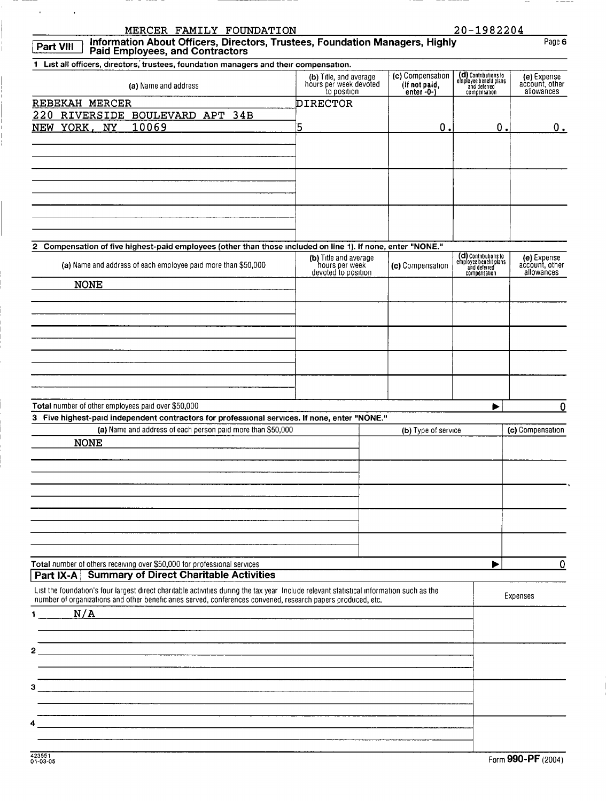| MERCER FAMILY FOUNDATION<br>Information About Officers, Directors, Trustees, Foundation Managers, Highly<br>Paid Employees, and Contractors<br><b>Part VIII</b>                                                                                                                    |                                                                 |                                                       | 20-1982204                                                                     | Page 6                                      |
|------------------------------------------------------------------------------------------------------------------------------------------------------------------------------------------------------------------------------------------------------------------------------------|-----------------------------------------------------------------|-------------------------------------------------------|--------------------------------------------------------------------------------|---------------------------------------------|
|                                                                                                                                                                                                                                                                                    |                                                                 |                                                       |                                                                                |                                             |
| 1 List all officers, directors, trustees, foundation managers and their compensation.<br>(a) Name and address                                                                                                                                                                      | (b) Title, and average<br>hours per week devoted<br>to position | (c) Compensation<br>(if not paid,<br>enter $-0$ - $)$ | (d) Contributions to<br>employee benefit plans<br>and deterred<br>compensation | (e) Expense<br>account, other<br>allowances |
| REBEKAH MERCER                                                                                                                                                                                                                                                                     | <b>DIRECTOR</b>                                                 |                                                       |                                                                                |                                             |
| 220 RIVERSIDE BOULEVARD APT 34B                                                                                                                                                                                                                                                    |                                                                 |                                                       |                                                                                |                                             |
| 10069<br>NEW YORK, NY                                                                                                                                                                                                                                                              | 5                                                               | 0.                                                    | О.                                                                             | 0.                                          |
|                                                                                                                                                                                                                                                                                    |                                                                 |                                                       |                                                                                |                                             |
| 2 Compensation of five highest-paid employees (other than those included on line 1). If none, enter "NONE."                                                                                                                                                                        | (b) Title and average                                           |                                                       |                                                                                | (e) Expense                                 |
| (a) Name and address of each employee paid more than \$50,000<br><b>NONE</b>                                                                                                                                                                                                       | hours per week<br>devoted to position                           | (c) Compensation                                      | (d) Contributions to<br>employee benefit plans<br>and deferred<br>compensation | account, other<br>allowances                |
|                                                                                                                                                                                                                                                                                    |                                                                 |                                                       |                                                                                |                                             |
|                                                                                                                                                                                                                                                                                    |                                                                 |                                                       |                                                                                |                                             |
| Total number of other employees paid over \$50,000<br>3 Five highest-paid independent contractors for professional services. If none, enter "NONE."<br>(a) Name and address of each person paid more than \$50,000                                                                 |                                                                 | (b) Type of service                                   | ▶                                                                              | 0<br>(c) Compensation                       |
| <b>NONE</b>                                                                                                                                                                                                                                                                        |                                                                 |                                                       |                                                                                |                                             |
|                                                                                                                                                                                                                                                                                    |                                                                 |                                                       |                                                                                |                                             |
|                                                                                                                                                                                                                                                                                    |                                                                 |                                                       |                                                                                |                                             |
| Total number of others receiving over \$50,000 for professional services<br><b>Part IX-A   Summary of Direct Charitable Activities</b><br>List the foundation's four largest direct charitable activities during the tax year Include relevant statistical information such as the |                                                                 |                                                       | ▶                                                                              | 0                                           |
| number of organizations and other beneficiaries served, conferences convened, research papers produced, etc.<br>N/A<br>$1 -$                                                                                                                                                       |                                                                 |                                                       |                                                                                | Expenses                                    |
| 2                                                                                                                                                                                                                                                                                  |                                                                 |                                                       |                                                                                |                                             |
| з                                                                                                                                                                                                                                                                                  |                                                                 |                                                       |                                                                                |                                             |
|                                                                                                                                                                                                                                                                                    |                                                                 |                                                       |                                                                                |                                             |

 $----$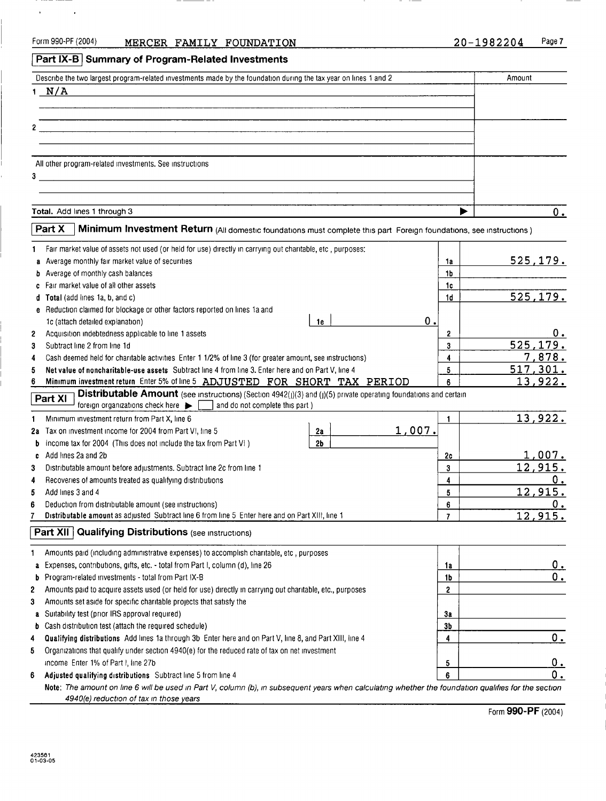$\sim$ 

 $\mathbf{r}$ 

 $- -$ 

## Part IX-B Summary of Program-Related Investments

| Describe the two largest program-related investments made by the foundation during the tax year on lines 1 and 2 | Amount |  |
|------------------------------------------------------------------------------------------------------------------|--------|--|
| $1$ $N/A$                                                                                                        |        |  |
|                                                                                                                  |        |  |
|                                                                                                                  |        |  |
| 2 <sup>1</sup>                                                                                                   |        |  |
|                                                                                                                  |        |  |
| All other program-related investments. See instructions                                                          |        |  |
| 3                                                                                                                |        |  |
|                                                                                                                  |        |  |
|                                                                                                                  |        |  |
| Total. Add lines 1 through 3                                                                                     |        |  |

|              | Part X<br>Minimum Investment Return (All domestic foundations must complete this part Foreign foundations, see instructions)                                                                      |               |                                  |                 |
|--------------|---------------------------------------------------------------------------------------------------------------------------------------------------------------------------------------------------|---------------|----------------------------------|-----------------|
| 1            | Fair market value of assets not used (or held for use) directly in carrying out charitable, etc , purposes:                                                                                       |               |                                  |                 |
|              | a Average monthly fair market value of securities                                                                                                                                                 |               | 1a                               | <u>525,179.</u> |
|              | <b>b</b> Average of monthly cash balances                                                                                                                                                         |               | 1b                               |                 |
|              | c Fair market value of all other assets                                                                                                                                                           |               | 1c                               |                 |
|              | d Total (add lines 1a, b, and c)                                                                                                                                                                  |               | 1 <sub>d</sub>                   | 525, 179.       |
|              | e Reduction claimed for blockage or other factors reported on lines 1a and                                                                                                                        |               |                                  |                 |
|              | 1c (attach detailed explanation)<br>1e                                                                                                                                                            | $\mathbf 0$ . |                                  |                 |
| $\mathbf{z}$ | Acquisition indebtedness applicable to line 1 assets                                                                                                                                              |               | 2                                | О.              |
| 3            | Subtract line 2 from line 1d                                                                                                                                                                      |               | 3                                | 525,179.        |
| 4            | Cash deemed held for charitable activities Enter 1 1/2% of line 3 (for greater amount, see instructions)                                                                                          |               | 4                                | 7,878.          |
| 5            | Net value of noncharitable-use assets Subtract line 4 from line 3. Enter here and on Part V, line 4                                                                                               |               | 5                                | 517,301.        |
| 6            | Minimum investment return_Enter 5% of line 5 ADJUSTED FOR SHORT TAX PERIOD                                                                                                                        |               | 6                                | 13,922.         |
|              | Distributable Amount (see instructions) (Section 4942(j)(3) and (j)(5) private operating foundations and certain<br>Part XI<br>foreign organizations check here<br>and do not complete this part) |               |                                  |                 |
| 1            | Minimum investment return from Part X, line 6                                                                                                                                                     |               | 1                                | 13,922.         |
| 2a           | Tax on investment income for 2004 from Part VI, line 5<br>2a                                                                                                                                      | 1,007.        |                                  |                 |
| b            | 2 <sub>b</sub><br>Income tax for 2004 (This does not include the tax from Part VI)                                                                                                                |               |                                  |                 |
| c            | Add lines 2a and 2b                                                                                                                                                                               |               | 2c                               | 1,007.          |
| 3            | Distributable amount before adjustments. Subtract line 2c from line 1                                                                                                                             |               | 3                                | 12,915.         |
| 4            | Recoveries of amounts treated as qualifying distributions                                                                                                                                         |               | 4                                | 0.              |
| 5            | Add lines 3 and 4                                                                                                                                                                                 |               | 5                                | 12,915.         |
| 6            | Deduction from distributable amount (see instructions)                                                                                                                                            |               | 6                                | Ο.              |
| 7            | Distributable amount as adjusted Subtract line 6 from line 5 Enter here and on Part XIII, line 1                                                                                                  |               | $\overline{7}$                   | 12,915.         |
| 1            | <b>Part XII</b> Qualifying Distributions (see instructions)                                                                                                                                       |               |                                  |                 |
|              | Amounts paid (including administrative expenses) to accomplish charitable, etc., purposes                                                                                                         |               |                                  |                 |
|              | a Expenses, contributions, gifts, etc. - total from Part I, column (d), line 26<br>Program-related investments - total from Part IX-B                                                             |               | 1a                               | 0.<br>0.        |
| b            |                                                                                                                                                                                                   |               | 1 <sub>b</sub><br>$\overline{2}$ |                 |
| 2            | Amounts paid to acquire assets used (or held for use) directly in carrying out charitable, etc., purposes                                                                                         |               |                                  |                 |
| 3            | Amounts set aside for specific charitable projects that satisfy the                                                                                                                               |               |                                  |                 |
|              | a Suitability test (prior IRS approval required)                                                                                                                                                  |               | 3a<br>3 <sub>b</sub>             |                 |
| b            | Cash distribution test (attach the required schedule)                                                                                                                                             |               |                                  | 0.              |
| 4            | Qualifying distributions Add lines 1a through 3b Enter here and on Part V, line 8, and Part XIII, line 4                                                                                          |               | 4                                |                 |
| 5            | Organizations that qualify under section 4940(e) for the reduced rate of tax on net investment                                                                                                    |               |                                  |                 |
|              | income Enter 1% of Part I, line 27b                                                                                                                                                               |               | 5                                | 0.              |
| 6            | Adjusted qualifying distributions Subtract line 5 from line 4                                                                                                                                     |               | 6                                | 0.              |
|              | Note: The amount on line 6 will be used in Part V, column (b), in subsequent years when calculating whether the foundation qualifies for the section                                              |               |                                  |                 |
|              | 4940(e) reduction of tax in those years                                                                                                                                                           |               |                                  |                 |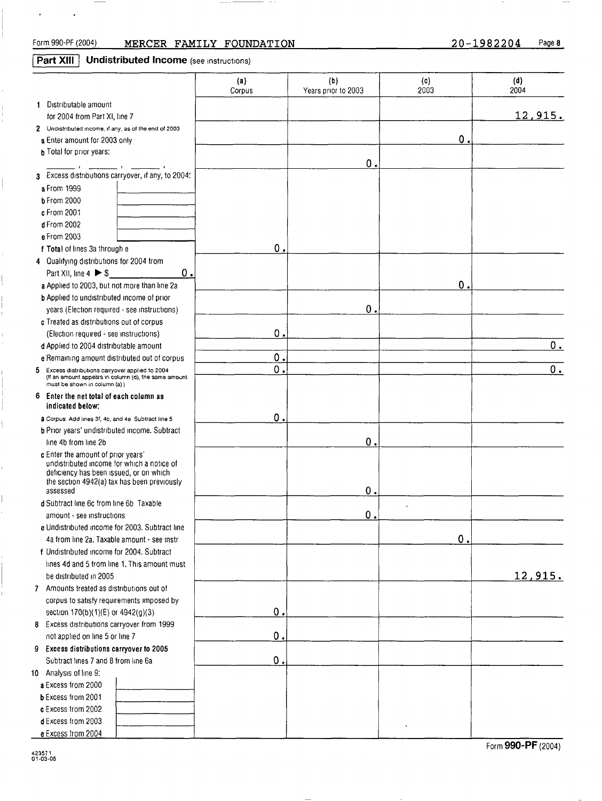$\Omega$ 

 $\mathbf{0}$ 

0

12 , 915 .

 $\mathbf 0$  .

Form 990-PF (2004) MERCER FAMILY FOUNDATION 20-1982204 Page 8 Part XIII Undistributed Income (see instructions) (a) (b) (c) (d) Corpus Years prior to 2003 2003 2004 Distributable amount for 2004 from Part XI, line 7 2 Undistributed income, if any, as of the end of 2003 a Enter amount for 2003 only **b** Total for prior years:  $\mathbf{0}$ 3 Excess distributions carryover, if any, to 2004: a From 1999 b From 2000 c From 2001 d From 2002 e From 2003  $\overline{0}$ f Total of lines 3a through e 4 Qualifying distributions for 2004 from Part XI I, line 4 " \$ 0 a Applied to 2003, but not more than line 2a b Applied to undistributed income of prior  $\mathbf{0}$ years (Election required - see instructions) c Treated as distributions out of corpus  $\mathbf 0$ (Election required - see instructions) d Applied to 2004 distributable amount  $\frac{0}{0}$ . e Remaining amount distributed out of corpus 5 Excess distributions carryover applied to 2004 (It an amount appears in column (d), the same amount 0 . 0 . must be shown in column (a) ) 6 Enter the net total of each column as indicated below:  $\mathbf 0$ 2 Corpus Add lines 3f, 4c, and 4e Subtract line 5 **b** Prior years' undistributed income. Subtract line 4b from line 2b  $\bf{0}$ c Enter the amount of prior years' undistributed income for which a notice of deficiency has been issued, or on which the section 4942(a) tax has been previously  $\mathbf 0$ assessed d Subtract line 6c from line 6b Taxable  $\mathbf 0$ amount - see instructions e Undistributed income for 2003 . Subtract line 4a from line 2a. Taxable amount - see instr f Undistributed income for 2004. Subtract lines 4d and 5 from line 1. This amount must be distributed in 2005 7 Amounts treated as distributions out of

 $\mathbf 0$ 

 $\mathbf 0$ 

 $\mathbf 0$  .

corpus to satisfy requirements imposed by section  $170(b)(1)(E)$  or  $4942(g)(3)$ 

8 Excess distributions carryover from 1999 not applied on line 5 or line 7

9 Excess distributions carryover to 2005 Subtract lines 7 and 8 from line 6a

10 Analysis of line 9: a Excess from 2000

e Excess from 2004

b Excess from 2001 c Excess from 2002

d Excess from 2003

Form 990-PF (2004)

12 , 915 .

423571 01-03-OS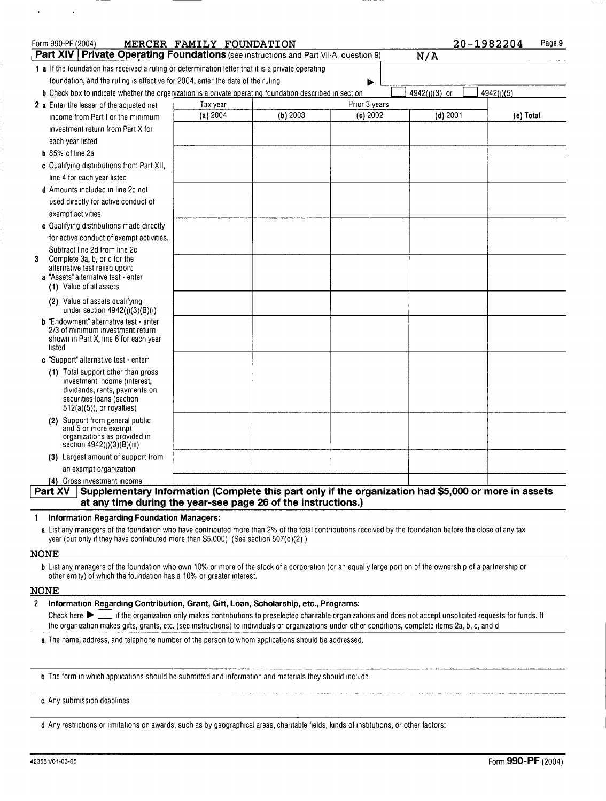| Form 990-PF (2004)                                                                                                     | MERCER FAMILY FOUNDATION |          |               | 20-1982204    | Page 9     |
|------------------------------------------------------------------------------------------------------------------------|--------------------------|----------|---------------|---------------|------------|
| Part XIV   Private Operating Foundations (see instructions and Part VII-A, question 9)                                 |                          |          |               | N/A           |            |
| 1 a If the foundation has received a ruling or determination letter that it is a private operating                     |                          |          |               |               |            |
| foundation, and the ruling is effective for 2004, enter the date of the ruling                                         |                          |          |               |               |            |
| <b>b</b> Check box to indicate whether the organization is a private operating foundation described in section         |                          |          |               | 4942(J)(3) or | 4942(j)(5) |
| 2 a Enter the lesser of the adjusted net                                                                               | Tax year                 |          | Prior 3 years |               |            |
| income from Part I or the minimum                                                                                      | (a) 2004                 | (b) 2003 | (c) 2002      | $(d)$ 2001    | (e) Total  |
| investment return from Part X for                                                                                      |                          |          |               |               |            |
| each year listed                                                                                                       |                          |          |               |               |            |
| <b>b</b> 85% of line 2a                                                                                                |                          |          |               |               |            |
| c Qualifying distributions from Part XII.                                                                              |                          |          |               |               |            |
| line 4 for each year listed                                                                                            |                          |          |               |               |            |
| d Amounts included in line 2c not                                                                                      |                          |          |               |               |            |
| used directly for active conduct of                                                                                    |                          |          |               |               |            |
| exempt activities                                                                                                      |                          |          |               |               |            |
| e Qualifying distributions made directly                                                                               |                          |          |               |               |            |
| for active conduct of exempt activities.                                                                               |                          |          |               |               |            |
| Subtract line 2d from line 2c                                                                                          |                          |          |               |               |            |
| 3<br>Complete 3a, b, or c for the<br>alternative test relied upon:                                                     |                          |          |               |               |            |
| a "Assets" alternative test - enter                                                                                    |                          |          |               |               |            |
| (1) Value of all assets                                                                                                |                          |          |               |               |            |
| (2) Value of assets qualifying<br>under section $4942(j)(3)(B)(i)$                                                     |                          |          |               |               |            |
| <b>b</b> "Endowment" alternative test - enter                                                                          |                          |          |               |               |            |
| 2/3 of minimum investment return<br>shown in Part X, line 6 for each year                                              |                          |          |               |               |            |
| listed                                                                                                                 |                          |          |               |               |            |
| c "Support" alternative test - enter                                                                                   |                          |          |               |               |            |
| (1) Total support other than gross                                                                                     |                          |          |               |               |            |
| investment income (interest,<br>dividends, rents, payments on                                                          |                          |          |               |               |            |
| securities loans (section                                                                                              |                          |          |               |               |            |
| $512(a)(5)$ , or royalties)                                                                                            |                          |          |               |               |            |
| (2) Support from general public<br>and 5 or more exempt                                                                |                          |          |               |               |            |
| organizations as provided in                                                                                           |                          |          |               |               |            |
| section 4942(j)(3)(B)(iii)                                                                                             |                          |          |               |               |            |
| (3) Largest amount of support from                                                                                     |                          |          |               |               |            |
| an exempt organization                                                                                                 |                          |          |               |               |            |
| (4) Gross investment income                                                                                            |                          |          |               |               |            |
| Supplementary Information (Complete this part only if the organization had \$5,000 or more in assets<br><b>Part XV</b> |                          |          |               |               |            |
| at any time during the year-see page 26 of the instructions.)                                                          |                          |          |               |               |            |

## 1 Information Regarding Foundation Managers:

a List any managers of the foundation who have contributed more than 2% of the total contributions received by the foundation before the close of any tax year (but only if they have contributed more than \$5,000) (See section 507(4)(2) )

### **NONE**

 $\ddot{\phantom{0}}$ 

b List any managers of the foundation who own 10% or more of the stock of a corporation (or an equally large portion of the ownership of a partnership or other entity) of which the foundation has a 10% or greater interest.

### NONE

2 Information Regarding Contribution, Grant, Gift, Loan, Scholarship, etc., Programs:<br>Check here  $\blacktriangleright$  of the organization only makes contributions to preselected charitable organization

If the organization only makes contributions to preselected charitable organizations and does not accept unsolicited requests for funds. If the organization makes gifts, grants, etc . (see instructions) to individuals or organizations under other conditions, complete items 2a, b, c, and d

a The name, address, and telephone number of the person to whom applications should be addressed.

b The form in which applications should be submitted and information and materials they should include

c Any submission deadlines

d Any restrictions or limitations on awards, such as by geographical areas, charitable fields, kinds of institutions, or other factors: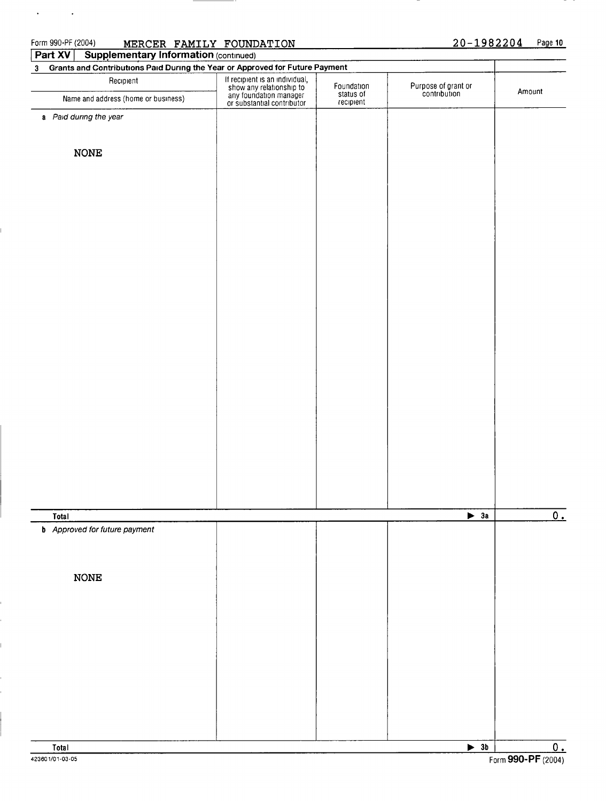$\mathbf{v} = \mathbf{v} \times \mathbf{v}$  .

## MERCER FAMILY FOUNDATION

## 20-1982204 Page 10

| Part $XY$<br><b>Supplementary Information (continued)</b><br>Grants and Contributions Paid During the Year or Approved for Future Payment |                                                                                                                    |                                      |                                     |        |
|-------------------------------------------------------------------------------------------------------------------------------------------|--------------------------------------------------------------------------------------------------------------------|--------------------------------------|-------------------------------------|--------|
| 3 <sub>1</sub><br>Recipient                                                                                                               |                                                                                                                    |                                      |                                     |        |
| Name and address (home or business)                                                                                                       | If recipient is an individual,<br>show any relationship to<br>any foundation manager<br>or substantial contributor | Foundation<br>status of<br>recipient | Purpose of grant or<br>contribution | Amount |
| a Paid during the year                                                                                                                    |                                                                                                                    |                                      |                                     |        |
|                                                                                                                                           |                                                                                                                    |                                      |                                     |        |
|                                                                                                                                           |                                                                                                                    |                                      |                                     |        |
| <b>NONE</b>                                                                                                                               |                                                                                                                    |                                      |                                     |        |
|                                                                                                                                           |                                                                                                                    |                                      |                                     |        |
|                                                                                                                                           |                                                                                                                    |                                      |                                     |        |
|                                                                                                                                           |                                                                                                                    |                                      |                                     |        |
|                                                                                                                                           |                                                                                                                    |                                      |                                     |        |
|                                                                                                                                           |                                                                                                                    |                                      |                                     |        |
|                                                                                                                                           |                                                                                                                    |                                      |                                     |        |
|                                                                                                                                           |                                                                                                                    |                                      |                                     |        |
|                                                                                                                                           |                                                                                                                    |                                      |                                     |        |
|                                                                                                                                           |                                                                                                                    |                                      |                                     |        |
|                                                                                                                                           |                                                                                                                    |                                      |                                     |        |
|                                                                                                                                           |                                                                                                                    |                                      |                                     |        |
|                                                                                                                                           |                                                                                                                    |                                      |                                     |        |
|                                                                                                                                           |                                                                                                                    |                                      |                                     |        |
|                                                                                                                                           |                                                                                                                    |                                      |                                     |        |
|                                                                                                                                           |                                                                                                                    |                                      |                                     |        |
|                                                                                                                                           |                                                                                                                    |                                      |                                     |        |
|                                                                                                                                           |                                                                                                                    |                                      |                                     |        |
|                                                                                                                                           |                                                                                                                    |                                      |                                     |        |
|                                                                                                                                           |                                                                                                                    |                                      |                                     |        |
|                                                                                                                                           |                                                                                                                    |                                      |                                     |        |
|                                                                                                                                           |                                                                                                                    |                                      |                                     |        |
|                                                                                                                                           |                                                                                                                    |                                      |                                     |        |
|                                                                                                                                           |                                                                                                                    |                                      |                                     |        |
| Total                                                                                                                                     |                                                                                                                    |                                      | $\blacktriangleright$ 3a            |        |
| <b>b</b> Approved for future payment                                                                                                      |                                                                                                                    |                                      |                                     |        |
|                                                                                                                                           |                                                                                                                    |                                      |                                     |        |
|                                                                                                                                           |                                                                                                                    |                                      |                                     |        |
| $\rm{NONE}$                                                                                                                               |                                                                                                                    |                                      |                                     |        |
|                                                                                                                                           |                                                                                                                    |                                      |                                     |        |
|                                                                                                                                           |                                                                                                                    |                                      |                                     |        |
|                                                                                                                                           |                                                                                                                    |                                      |                                     |        |
|                                                                                                                                           |                                                                                                                    |                                      |                                     |        |
|                                                                                                                                           |                                                                                                                    |                                      |                                     |        |
|                                                                                                                                           |                                                                                                                    |                                      |                                     |        |
|                                                                                                                                           |                                                                                                                    |                                      |                                     |        |
|                                                                                                                                           |                                                                                                                    |                                      |                                     |        |
|                                                                                                                                           |                                                                                                                    |                                      |                                     |        |
|                                                                                                                                           |                                                                                                                    |                                      |                                     |        |
| Total                                                                                                                                     |                                                                                                                    |                                      | $\overline{\phantom{1}}$ 3b         |        |

azseova,-o3-os Form 990-PF (2004)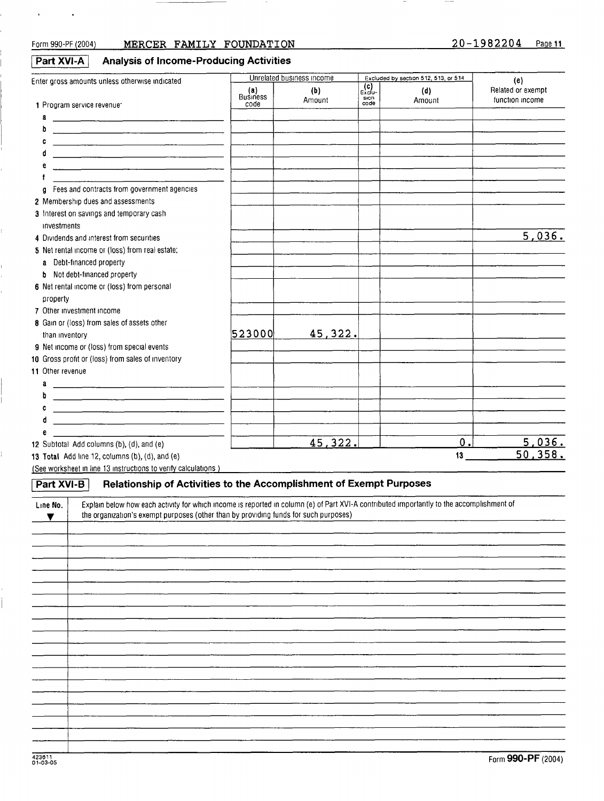$\bullet$  . The  $\bullet$  is  $\bullet$ 

Ė,

 $\frac{1}{2}$ 

## Form 990-PF (2004) MERCER FAMILY FOUNDATION 20-1982204 Page 11

 $\hspace{0.1mm}-\hspace{0.1mm}$ 

 $\cdots$ 

| Part XVI-A | <b>Analysis of Income-Producing Activities</b> |  |
|------------|------------------------------------------------|--|
|            |                                                |  |

|                                                                                                                                                       |                        | Unrelated business income |                                           | Excluded by section 512, 513, or 514 |                          |
|-------------------------------------------------------------------------------------------------------------------------------------------------------|------------------------|---------------------------|-------------------------------------------|--------------------------------------|--------------------------|
| Enter gross amounts unless otherwise indicated                                                                                                        | (a)<br><b>Business</b> | (b)                       | $\overline{\epsilon_{\text{xclu}}^{(c)}}$ | (d)                                  | (e)<br>Related or exempt |
| 1 Program service revenue                                                                                                                             | code                   | Amount                    | sion<br>code                              | Amount                               | function income          |
| a                                                                                                                                                     |                        |                           |                                           |                                      |                          |
| b<br><u> 1980 - John Stone, maria eta inperiodo eta inperiodo eta inperiodo eta inperiodo eta inperiodo eta inperiodo</u>                             |                        |                           |                                           |                                      |                          |
| c                                                                                                                                                     |                        |                           |                                           |                                      |                          |
| đ                                                                                                                                                     |                        |                           |                                           |                                      |                          |
|                                                                                                                                                       |                        |                           |                                           |                                      |                          |
|                                                                                                                                                       |                        |                           |                                           |                                      |                          |
| Fees and contracts from government agencies<br>g.                                                                                                     |                        |                           |                                           |                                      |                          |
| 2 Membership dues and assessments                                                                                                                     |                        |                           |                                           |                                      |                          |
| 3 Interest on savings and temporary cash                                                                                                              |                        |                           |                                           |                                      |                          |
| investments                                                                                                                                           |                        |                           |                                           |                                      |                          |
| 4 Dividends and interest from securities                                                                                                              |                        |                           |                                           |                                      | 5,036.                   |
| 5 Net rental income or (loss) from real estate:                                                                                                       |                        |                           |                                           |                                      |                          |
| a Debt-financed property                                                                                                                              |                        |                           |                                           |                                      |                          |
| Not debt-financed property<br>b                                                                                                                       |                        |                           |                                           |                                      |                          |
| 6 Net rental income or (loss) from personal                                                                                                           |                        |                           |                                           |                                      |                          |
| property                                                                                                                                              |                        |                           |                                           |                                      |                          |
| 7 Other investment income                                                                                                                             |                        |                           |                                           |                                      |                          |
| 8 Gain or (loss) from sales of assets other                                                                                                           |                        |                           |                                           |                                      |                          |
| than inventory                                                                                                                                        | 523000                 | 45,322.                   |                                           |                                      |                          |
| 9 Net income or (loss) from special events                                                                                                            |                        |                           |                                           |                                      |                          |
| 10 Gross profit or (loss) from sales of inventory                                                                                                     |                        |                           |                                           |                                      |                          |
| 11 Other revenue                                                                                                                                      |                        |                           |                                           |                                      |                          |
| a                                                                                                                                                     |                        |                           |                                           |                                      |                          |
| b                                                                                                                                                     |                        |                           |                                           |                                      |                          |
| c                                                                                                                                                     |                        |                           |                                           |                                      |                          |
| d<br><u> 1980 - Jan Samuel II, maritan bizko hamarkada (h. 1980).</u>                                                                                 |                        |                           |                                           |                                      |                          |
| е                                                                                                                                                     |                        | 45, 322.                  |                                           | 0.                                   | 5,036.                   |
| 12 Subtotal Add columns (b), (d), and (e)<br>13 Total Add line 12, columns (b), (d), and (e)                                                          |                        |                           |                                           | 13                                   | 50,358.                  |
| (See worksheet in line 13 instructions to verify calculations)                                                                                        |                        |                           |                                           |                                      |                          |
|                                                                                                                                                       |                        |                           |                                           |                                      |                          |
| Relationship of Activities to the Accomplishment of Exempt Purposes<br><b>Part XVI-B</b>                                                              |                        |                           |                                           |                                      |                          |
| Explain below how each activity for which income is reported in column (e) of Part XVI-A contributed importantly to the accomplishment of<br>Line No. |                        |                           |                                           |                                      |                          |
| the organization's exempt purposes (other than by providing funds for such purposes)                                                                  |                        |                           |                                           |                                      |                          |
|                                                                                                                                                       |                        |                           |                                           |                                      |                          |
|                                                                                                                                                       |                        |                           |                                           |                                      |                          |
|                                                                                                                                                       |                        |                           |                                           |                                      |                          |
|                                                                                                                                                       |                        |                           |                                           |                                      |                          |
|                                                                                                                                                       |                        |                           |                                           |                                      |                          |
|                                                                                                                                                       |                        |                           |                                           |                                      |                          |
|                                                                                                                                                       |                        |                           |                                           |                                      |                          |
|                                                                                                                                                       |                        |                           |                                           |                                      |                          |
|                                                                                                                                                       |                        |                           |                                           |                                      |                          |
|                                                                                                                                                       |                        |                           |                                           |                                      |                          |
|                                                                                                                                                       |                        |                           |                                           |                                      |                          |
|                                                                                                                                                       |                        |                           |                                           |                                      |                          |
|                                                                                                                                                       |                        |                           |                                           |                                      |                          |
|                                                                                                                                                       |                        |                           |                                           |                                      |                          |
|                                                                                                                                                       |                        |                           |                                           |                                      |                          |
|                                                                                                                                                       |                        |                           |                                           |                                      |                          |
|                                                                                                                                                       |                        |                           |                                           |                                      |                          |
|                                                                                                                                                       |                        |                           |                                           |                                      |                          |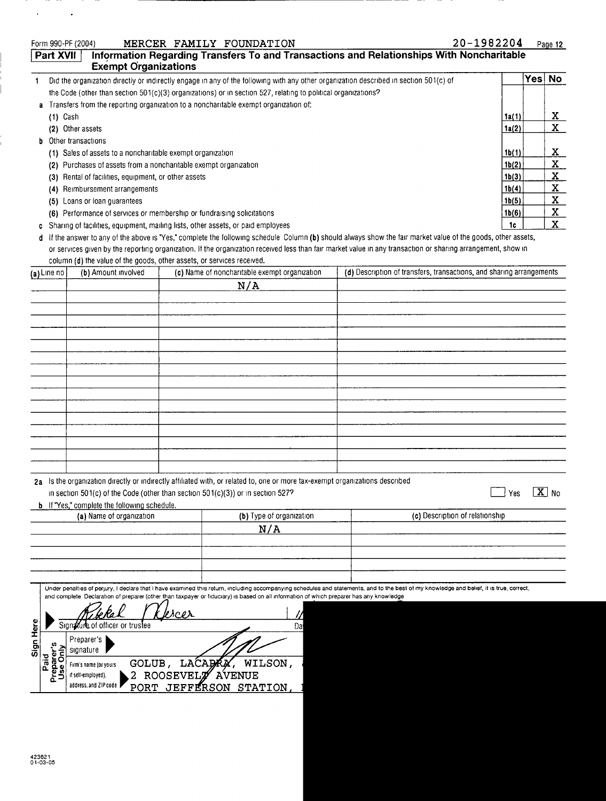| Part XVII              | <b>Exempt Organizations</b>                                                                            |                |                                                                                                                                         | Information Regarding Transfers To and Transactions and Relationships With Noncharitable                                                                                                  |                |                   |
|------------------------|--------------------------------------------------------------------------------------------------------|----------------|-----------------------------------------------------------------------------------------------------------------------------------------|-------------------------------------------------------------------------------------------------------------------------------------------------------------------------------------------|----------------|-------------------|
| 1                      |                                                                                                        |                |                                                                                                                                         | Did the organization directly or indirectly engage in any of the following with any other organization described in section 501(c) of                                                     |                | Yes No            |
|                        |                                                                                                        |                | the Code (other than section 501(c)(3) organizations) or in section 527, relating to political organizations?                           |                                                                                                                                                                                           |                |                   |
|                        |                                                                                                        |                | Transfers from the reporting organization to a noncharitable exempt organization of:                                                    |                                                                                                                                                                                           |                |                   |
| $(1)$ Cash             |                                                                                                        |                |                                                                                                                                         |                                                                                                                                                                                           | 1a(1)          | <u>x</u>          |
|                        | (2) Other assets                                                                                       |                |                                                                                                                                         |                                                                                                                                                                                           | 1a(2)          | X                 |
|                        | Other transactions                                                                                     |                |                                                                                                                                         |                                                                                                                                                                                           |                |                   |
|                        | (1) Sales of assets to a noncharitable exempt organization                                             |                |                                                                                                                                         |                                                                                                                                                                                           | 1b(1)          | <u>x</u>          |
|                        | (2) Purchases of assets from a noncharitable exempt organization                                       |                |                                                                                                                                         |                                                                                                                                                                                           | 1b(2)          | X                 |
|                        | (3) Rental of facilities, equipment, or other assets                                                   |                |                                                                                                                                         |                                                                                                                                                                                           | 1b(3)          | $\mathbf{X}$      |
|                        | (4) Reimbursement arrangements                                                                         |                |                                                                                                                                         |                                                                                                                                                                                           | 1b(4)          | X<br>$\mathbf X$  |
|                        | (5) Loans or loan guarantees<br>(6) Performance of services or membership or fundraising solicitations |                |                                                                                                                                         |                                                                                                                                                                                           | 1b(5)<br>1b(6) | $\mathbf{X}$      |
|                        | Sharing of facilities, equipment, mailing lists, other assets, or paid employees                       |                |                                                                                                                                         |                                                                                                                                                                                           | 1c             | $\mathbf{X}$      |
| c<br>d                 |                                                                                                        |                |                                                                                                                                         | If the answer to any of the above is "Yes," complete the following schedule Column (b) should always show the fair market value of the goods, other assets,                               |                |                   |
|                        |                                                                                                        |                |                                                                                                                                         | or services given by the reporting organization. If the organization received less than fair market value in any transaction or sharing arrangement, show in                              |                |                   |
|                        | column (d) the value of the goods, other assets, or services received.                                 |                |                                                                                                                                         |                                                                                                                                                                                           |                |                   |
| (a) Line no            | (b) Amount involved                                                                                    |                | (c) Name of noncharitable exempt organization                                                                                           | (d) Description of transfers, transactions, and sharing arrangements                                                                                                                      |                |                   |
|                        |                                                                                                        |                | N/A                                                                                                                                     |                                                                                                                                                                                           |                |                   |
|                        |                                                                                                        |                |                                                                                                                                         |                                                                                                                                                                                           |                |                   |
|                        |                                                                                                        |                |                                                                                                                                         |                                                                                                                                                                                           |                |                   |
|                        |                                                                                                        |                |                                                                                                                                         |                                                                                                                                                                                           |                |                   |
|                        |                                                                                                        |                |                                                                                                                                         |                                                                                                                                                                                           |                |                   |
|                        |                                                                                                        |                |                                                                                                                                         |                                                                                                                                                                                           |                |                   |
|                        |                                                                                                        |                |                                                                                                                                         |                                                                                                                                                                                           |                |                   |
|                        |                                                                                                        |                |                                                                                                                                         |                                                                                                                                                                                           |                |                   |
|                        |                                                                                                        |                |                                                                                                                                         |                                                                                                                                                                                           |                |                   |
|                        |                                                                                                        |                |                                                                                                                                         |                                                                                                                                                                                           |                |                   |
|                        |                                                                                                        |                |                                                                                                                                         |                                                                                                                                                                                           |                |                   |
|                        |                                                                                                        |                |                                                                                                                                         |                                                                                                                                                                                           |                |                   |
|                        |                                                                                                        |                |                                                                                                                                         |                                                                                                                                                                                           |                |                   |
|                        |                                                                                                        |                |                                                                                                                                         |                                                                                                                                                                                           |                |                   |
|                        |                                                                                                        |                |                                                                                                                                         |                                                                                                                                                                                           |                |                   |
|                        |                                                                                                        |                | 2a Is the organization directly or indirectly affiliated with, or related to, one or more tax-exempt organizations described            |                                                                                                                                                                                           |                |                   |
|                        |                                                                                                        |                | in section 501(c) of the Code (other than section 501(c)(3)) or in section 527?                                                         |                                                                                                                                                                                           |                | $\overline{X}$ No |
|                        | <b>b</b> If "Yes," complete the following schedule.                                                    |                |                                                                                                                                         |                                                                                                                                                                                           |                |                   |
|                        | (a) Name of organization                                                                               |                | (b) Type of organization                                                                                                                | (c) Description of relationship                                                                                                                                                           |                |                   |
|                        |                                                                                                        |                | N/A                                                                                                                                     |                                                                                                                                                                                           |                |                   |
|                        |                                                                                                        |                |                                                                                                                                         |                                                                                                                                                                                           |                |                   |
|                        |                                                                                                        |                |                                                                                                                                         |                                                                                                                                                                                           |                |                   |
|                        |                                                                                                        |                |                                                                                                                                         |                                                                                                                                                                                           |                |                   |
|                        |                                                                                                        |                |                                                                                                                                         |                                                                                                                                                                                           |                |                   |
|                        |                                                                                                        |                | and complete Declaration of preparer (other than taxpayer or fiduciary) is based on all information of which preparer has any knowledge | Under penalties of perjury, I declare that I have examined this return, including accompanying schedules and statements, and to the best of my knowledge and belief, it is true, correct, |                |                   |
|                        |                                                                                                        |                |                                                                                                                                         |                                                                                                                                                                                           |                |                   |
|                        |                                                                                                        | <b>SOPX</b>    |                                                                                                                                         |                                                                                                                                                                                           |                |                   |
|                        | Sign fure of officer or trustee                                                                        |                | Da                                                                                                                                      |                                                                                                                                                                                           |                |                   |
| Sign Here              | Preparer's                                                                                             |                |                                                                                                                                         |                                                                                                                                                                                           |                |                   |
| Preparer's<br>Use Only | signature                                                                                              |                |                                                                                                                                         |                                                                                                                                                                                           |                |                   |
| Paid                   | Firm's name (or yours                                                                                  | GOLUB, LACABRA | WILSON,                                                                                                                                 |                                                                                                                                                                                           |                |                   |
|                        | if self-employed),                                                                                     | 2 ROOSEVELT    | <b>AVENUE</b>                                                                                                                           |                                                                                                                                                                                           |                |                   |
|                        | address, and ZIP code                                                                                  |                | PORT JEFFERSON STATION                                                                                                                  |                                                                                                                                                                                           |                |                   |

-m.  $\mathcal{L}^{(1)}$  .

 $\sim 10$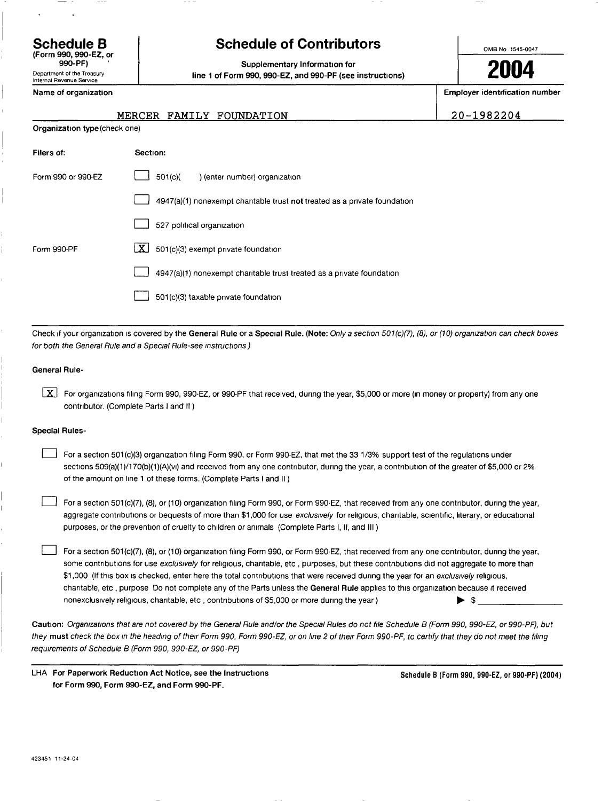(Form 990, 990-EZ, or 990-PF) '

### Department of the Treasury Internal Revenue Service

## Schedule B The Schedule of Contributors

2004 Supplementary Information for line 1 of Form 990, 990-EZ, and 990-PF (see instructions)

OMB No 1545-0047

Name of organization example is a structure of organization number in the structure of organization number is example if  $\mathbb{E}$  Employer identification number

20-1982204

|                                      |  | MERCER FAMILY FOUNDATION |  |
|--------------------------------------|--|--------------------------|--|
| <b>Organization type (check one)</b> |  |                          |  |

| Filers of:         | Section:                                                                  |
|--------------------|---------------------------------------------------------------------------|
| Form 990 or 990-EZ | 501(c)(<br>) (enter number) organization                                  |
|                    | 4947(a)(1) nonexempt charitable trust not treated as a private foundation |
|                    | 527 political organization                                                |
| Form 990-PF        | X  <br>501(c)(3) exempt private foundation                                |
|                    | 4947(a)(1) nonexempt chantable trust treated as a private foundation      |
|                    | 501(c)(3) taxable private foundation                                      |

Check if your organization is covered by the General Rule or a Special Rule. (Note: Only a section 501(c)(7), (8), or (10) organization can check boxes for both the General Rule and a Special Rule-see instructions)

## General Rule-

For organizations filing Form 990, 990-EZ, or 990-PF that received, during the year, \$5,000 or more (in money or property) from any one contributor. (Complete Parts I and II )

## Special Rules-

For a section 501(c)(3) organization filing Form 990, or Form 990-EZ, that met the 33 1/3% support test of the regulations under sections 509(a)(1)/170(b)(1)(A)(vi) and received from any one contributor, during the year, a contribution of the greater of \$5,000 or 2% of the amount on line 1 of these forms. (Complete Parts I and II )

For a section 501(c)(7), (8), or (10) organization filing Form 990, or Form 990-EZ, that received from any one contributor, during the year, aggregate contributions or bequests of more than \$1,000 for use exclusively for religious, charitable, scientific, literary, or educational purposes, or the prevention of cruelty to children or animals (Complete Parts I, II, and III )

For a section 501(c)(7), (8), or (10) organization filing Form 990, or Form 990-EZ, that received from any one contributor, during the year, some contributions for use exclusively for religious, charitable, etc, purposes, but these contributions did not aggregate to more than \$1,000 (If this box is checked, enter here the total contributions that were received during the year for an exclusively religious, charitable, etc , purpose Do not complete any of the Parts unless the General Rule applies to this organization because it received nonexclusively religious, charitable, etc, contributions of \$5,000 or more during the year)  $\bullet$  \$

Caution: Organizations that are not covered by the General Rule and/or the Special Rules do not file Schedule B (Form 990, 990-EZ, or 990-PF), but they must check the box in the heading of their Form 990, Form 990-EZ, or on line 2 of their Form 990-PF, to certify that they do not meet the filing requirements of Schedule B (Form 990, 990-EZ, or 990-PF)

| LHA For Paperwork Reduction Act Notice, see the Instructions |
|--------------------------------------------------------------|
| for Form 990. Form 990-EZ, and Form 990-PF.                  |

Schedule B (Form 990, 990-EZ, or 990-PF) (2004)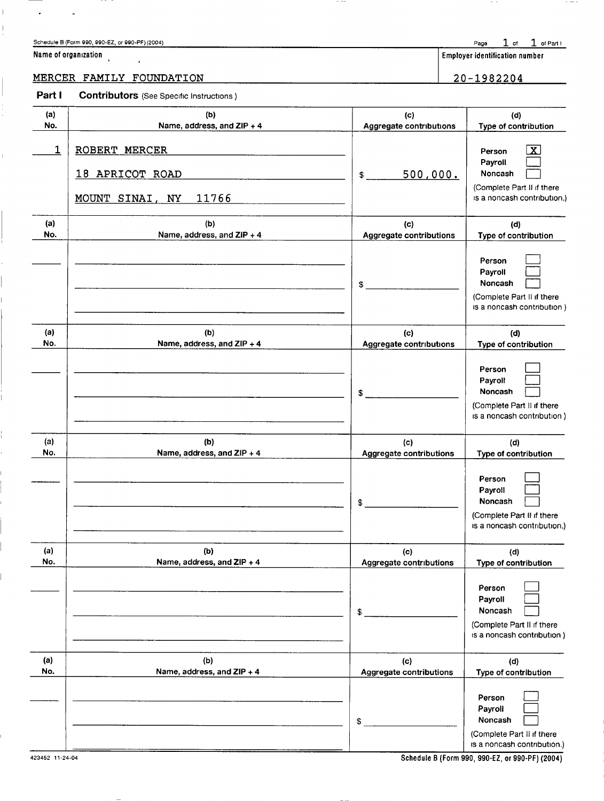## Schedule B (Form 990, 990-EZ, or 990-PF) (2004)  $\frac{1}{2}$  of Part I

| Name of organization |  |  |
|----------------------|--|--|
|----------------------|--|--|

 $\bar{\star}$ 

 $\bullet$ 

 $\|$ 

 $\frac{1}{\epsilon}$ 

 $\begin{array}{c} \hline \end{array}$ 

 $\begin{array}{c} 1 \\ 1 \\ 1 \end{array}$ 

 $\overline{1}$ 

 $-$ 

 $\begin{array}{|c|c|c|}\hline \textbf{Equation} & \textbf{Number of the image is a function of the image.} \hline \end{array}$ 

## MERCER FAMILY FOUNDATION 20-1982204

| Part I     | <b>Contributors</b> (See Specific Instructions)              |                                       |                                                                                                           |
|------------|--------------------------------------------------------------|---------------------------------------|-----------------------------------------------------------------------------------------------------------|
| (a)<br>No. | (b)<br>Name, address, and ZIP + 4                            | (c)<br>Aggregate contributions        | (d)<br>Type of contribution                                                                               |
| 1          | ROBERT MERCER<br>18 APRICOT ROAD<br>11766<br>MOUNT SINAI, NY | 500,000.<br>$\mathbf{\$}$             | $\mathbf{X}$<br>Person<br>Payroll<br>Noncash<br>(Complete Part II if there<br>is a noncash contribution.) |
| (a)<br>No. | (b)<br>Name, address, and ZIP + 4                            | (c)<br><b>Aggregate contributions</b> | (d)<br>Type of contribution                                                                               |
|            |                                                              | \$                                    | Person<br>Payroll<br>Noncash<br>(Complete Part II if there<br>is a noncash contribution)                  |
| (a)<br>No. | (b)<br>Name, address, and ZIP + 4                            | (c)<br>Aggregate contributions        | (d)<br>Type of contribution                                                                               |
|            |                                                              | \$                                    | Person<br>Payroll<br>Noncash<br>(Complete Part II if there<br>is a noncash contribution)                  |
| (a)<br>No. | (b)<br>Name, address, and ZIP + 4                            | (c)<br>Aggregate contributions        | (d)<br>Type of contribution                                                                               |
|            |                                                              | \$                                    | Person<br>Payroll<br>Noncash<br>(Complete Part II if there<br>is a noncash contribution.)                 |
| (a)<br>No. | (b)<br>Name, address, and ZIP + 4                            | (c)<br>Aggregate contributions        | (d)<br>Type of contribution                                                                               |
|            |                                                              | \$                                    | Person<br>Payroll<br>Noncash<br>(Complete Part II if there<br>is a noncash contribution)                  |
| (a)<br>No. | (b)<br>Name, address, and ZIP + 4                            | (c)<br><b>Aggregate contributions</b> | (d)<br>Type of contribution                                                                               |
|            |                                                              | \$                                    | Person<br>Payroll<br>Noncash<br>(Complete Part II if there<br>is a noncash contribution.)                 |

 $-$ 

423452 11-24-04 Schedule B (Form 990, 990-EZ, or 990-PF) (2004)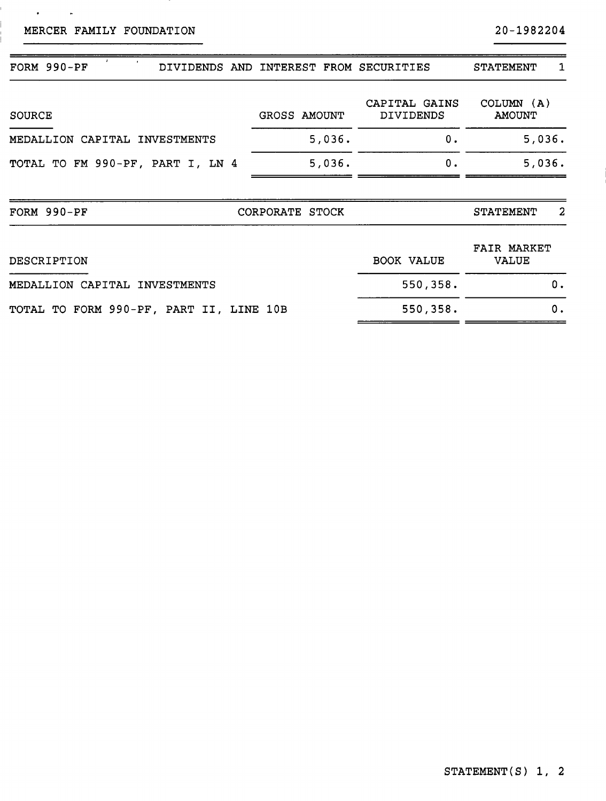MERCER FAMILY FOUNDATION

Ī.

 $\mathcal{A}^{\text{max}}$  and  $\mathcal{A}^{\text{max}}$ 

20-1982204

| FORM 990-PF<br>DIVIDENDS AND            |                 |        | INTEREST FROM SECURITIES   | <b>STATEMENT</b>                   | 1  |
|-----------------------------------------|-----------------|--------|----------------------------|------------------------------------|----|
| <b>SOURCE</b>                           | GROSS AMOUNT    |        | CAPITAL GAINS<br>DIVIDENDS | COLUMN $(A)$<br><b>AMOUNT</b>      |    |
| CAPITAL INVESTMENTS<br>MEDALLION        |                 | 5,036. | 0.                         | 5,036.                             |    |
| TOTAL TO FM 990-PF, PART I, LN 4        |                 | 5,036. | 0.                         | 5,036.                             |    |
| FORM 990-PF                             | CORPORATE STOCK |        |                            | <b>STATEMENT</b>                   | 2  |
| DESCRIPTION                             |                 |        | BOOK VALUE                 | <b>FAIR MARKET</b><br><b>VALUE</b> |    |
| MEDALLION CAPITAL<br><b>INVESTMENTS</b> |                 |        | 550,358.                   |                                    | 0. |
| TOTAL TO FORM 990-PF, PART II, LINE 10B |                 |        | 550,358.                   |                                    | 0. |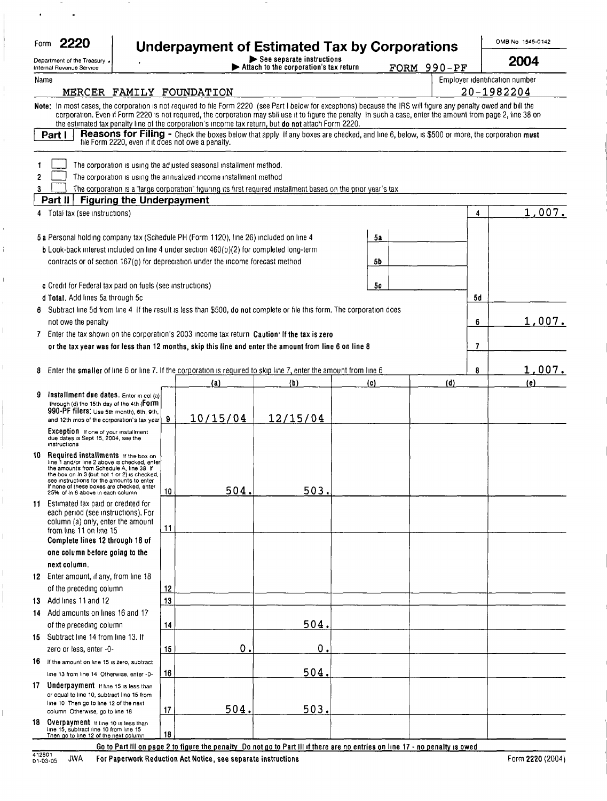| Form | $\sim$<br>۱, |
|------|--------------|
|      |              |

 $\frac{1}{4}$ 

 $\mathbf{I}$ 

## $F^{\rm form}$  2220 Punderpayment of Estimated Tax by Corporations

OMB No 1545-0142

|      | Department of the Treasury .<br>Internal Revenue Service                                                                                                                                                                                                                                                                                                                                                                                     |    |             | See separate instructions<br>Attach to the corporation's tax return |     |    | FORM 990-PF |    | 2004                           |
|------|----------------------------------------------------------------------------------------------------------------------------------------------------------------------------------------------------------------------------------------------------------------------------------------------------------------------------------------------------------------------------------------------------------------------------------------------|----|-------------|---------------------------------------------------------------------|-----|----|-------------|----|--------------------------------|
| Name |                                                                                                                                                                                                                                                                                                                                                                                                                                              |    |             |                                                                     |     |    |             |    | Employer identification number |
|      | MERCER FAMILY FOUNDATION                                                                                                                                                                                                                                                                                                                                                                                                                     |    |             |                                                                     |     |    |             |    | 20-1982204                     |
|      | Note: In most cases, the corporation is not required to file Form 2220 (see Part I below for exceptions) because the IRS will figure any penalty owed and bill the<br>corporation. Even if Form 2220 is not required, the corporation may still use it to figure the penalty In such a case, enter the amount from page 2, line 38 on<br>the estimated tax penalty line of the corporation's income tax return, but do not attach Form 2220. |    |             |                                                                     |     |    |             |    |                                |
|      | Reasons for Filing - Check the boxes below that apply If any boxes are checked, and line 6, below, is \$500 or more, the corporation must<br>Part I<br>file Form 2220, even if it does not owe a penalty.                                                                                                                                                                                                                                    |    |             |                                                                     |     |    |             |    |                                |
|      | The corporation is using the adjusted seasonal installment method.                                                                                                                                                                                                                                                                                                                                                                           |    |             |                                                                     |     |    |             |    |                                |
| 2    | The corporation is using the annualized income installment method                                                                                                                                                                                                                                                                                                                                                                            |    |             |                                                                     |     |    |             |    |                                |
| 3    | The corporation is a "large corporation" figuring its first required installment based on the prior year's tax                                                                                                                                                                                                                                                                                                                               |    |             |                                                                     |     |    |             |    |                                |
|      | Part II<br><b>Figuring the Underpayment</b>                                                                                                                                                                                                                                                                                                                                                                                                  |    |             |                                                                     |     |    |             |    |                                |
|      | 4 Total tax (see instructions)                                                                                                                                                                                                                                                                                                                                                                                                               |    |             |                                                                     |     |    |             | 4  | 1,007.                         |
|      | 5 a Personal holding company tax (Schedule PH (Form 1120), line 26) included on line 4                                                                                                                                                                                                                                                                                                                                                       |    |             |                                                                     | 5a  |    |             |    |                                |
|      | b Look-back interest included on line 4 under section 460(b)(2) for completed long-term                                                                                                                                                                                                                                                                                                                                                      |    |             |                                                                     |     |    |             |    |                                |
|      | contracts or of section 167(g) for depreciation under the income forecast method                                                                                                                                                                                                                                                                                                                                                             |    |             |                                                                     | 5b  |    |             |    |                                |
|      |                                                                                                                                                                                                                                                                                                                                                                                                                                              |    |             |                                                                     |     |    |             |    |                                |
|      | c Credit for Federal tax paid on fuels (see instructions)                                                                                                                                                                                                                                                                                                                                                                                    |    |             |                                                                     |     | 5с |             |    |                                |
|      | d Total, Add lines 5a through 5c                                                                                                                                                                                                                                                                                                                                                                                                             |    |             |                                                                     |     |    |             | 5d |                                |
|      | 6 Subtract line 5d from line 4 If the result is less than \$500, do not complete or file this form. The corporation does                                                                                                                                                                                                                                                                                                                     |    |             |                                                                     |     |    |             |    |                                |
|      | not owe the penalty<br>7 Enter the tax shown on the corporation's 2003 income tax return Caution' If the tax is zero                                                                                                                                                                                                                                                                                                                         |    |             |                                                                     |     |    |             | 6  | 1,007.                         |
|      | or the tax year was for less than 12 months, skip this line and enter the amount from line 6 on line 8                                                                                                                                                                                                                                                                                                                                       |    |             |                                                                     |     |    |             | 7  |                                |
|      |                                                                                                                                                                                                                                                                                                                                                                                                                                              |    |             |                                                                     |     |    |             |    |                                |
| 8.   | Enter the smaller of line 6 or line 7. If the corporation is required to skip line 7, enter the amount from line 6                                                                                                                                                                                                                                                                                                                           |    |             |                                                                     |     |    |             | 8  | 1,007.                         |
|      |                                                                                                                                                                                                                                                                                                                                                                                                                                              |    | (a)         | (b)                                                                 | (c) |    | (d)         |    | (e)                            |
| 9.   | Installment due dates. Enter in col (a)<br>through (d) the 15th day of the 4th (FOTM                                                                                                                                                                                                                                                                                                                                                         |    |             |                                                                     |     |    |             |    |                                |
|      | 990-PF filers: Use 5th month), 6th, 9th,                                                                                                                                                                                                                                                                                                                                                                                                     |    |             |                                                                     |     |    |             |    |                                |
|      | and 12th mos of the corporation's tax year                                                                                                                                                                                                                                                                                                                                                                                                   | 9  | 10/15/04    | 12/15/04                                                            |     |    |             |    |                                |
|      | <b>Exception</b> If one of your installment<br>due dates is Sept 15, 2004, see the<br>instructions                                                                                                                                                                                                                                                                                                                                           |    |             |                                                                     |     |    |             |    |                                |
| 10   | Required installments if the box on<br>line 1 and/or line 2 above is checked, enter                                                                                                                                                                                                                                                                                                                                                          |    |             |                                                                     |     |    |             |    |                                |
|      | the amounts from Schedule A, line 38 If<br>the box on in 3 (but not 1 or 2) is checked,                                                                                                                                                                                                                                                                                                                                                      |    |             |                                                                     |     |    |             |    |                                |
|      | see instructions for the amounts to enter<br>If none of these boxes are checked, enter                                                                                                                                                                                                                                                                                                                                                       |    |             |                                                                     |     |    |             |    |                                |
|      | 25% of in 8 above in each column                                                                                                                                                                                                                                                                                                                                                                                                             | 10 | 504.        | 503.                                                                |     |    |             |    |                                |
|      | 11 Estimated tax paid or credited for<br>each period (see instructions). For                                                                                                                                                                                                                                                                                                                                                                 |    |             |                                                                     |     |    |             |    |                                |
|      | column (a) only, enter the amount                                                                                                                                                                                                                                                                                                                                                                                                            | 11 |             |                                                                     |     |    |             |    |                                |
|      | from line 11 on line 15<br>Complete lines 12 through 18 of                                                                                                                                                                                                                                                                                                                                                                                   |    |             |                                                                     |     |    |             |    |                                |
|      | one column before going to the                                                                                                                                                                                                                                                                                                                                                                                                               |    |             |                                                                     |     |    |             |    |                                |
|      | next column.                                                                                                                                                                                                                                                                                                                                                                                                                                 |    |             |                                                                     |     |    |             |    |                                |
|      | 12 Enter amount, if any, from line 18                                                                                                                                                                                                                                                                                                                                                                                                        |    |             |                                                                     |     |    |             |    |                                |
|      | of the preceding column                                                                                                                                                                                                                                                                                                                                                                                                                      | 12 |             |                                                                     |     |    |             |    |                                |
| 13   | Add lines 11 and 12                                                                                                                                                                                                                                                                                                                                                                                                                          | 13 |             |                                                                     |     |    |             |    |                                |
| 14.  | Add amounts on lines 16 and 17                                                                                                                                                                                                                                                                                                                                                                                                               |    |             |                                                                     |     |    |             |    |                                |
|      | of the preceding column                                                                                                                                                                                                                                                                                                                                                                                                                      | 14 |             | 504.                                                                |     |    |             |    |                                |
| 15   | Subtract line 14 from line 13. If                                                                                                                                                                                                                                                                                                                                                                                                            |    |             |                                                                     |     |    |             |    |                                |
|      | zero or less, enter -0-                                                                                                                                                                                                                                                                                                                                                                                                                      | 15 | $\mathbf 0$ | $\mathbf 0$                                                         |     |    |             |    |                                |
| 16   | If the amount on line 15 is zero, subtract                                                                                                                                                                                                                                                                                                                                                                                                   |    |             |                                                                     |     |    |             |    |                                |
|      | line 13 from line 14 Otherwise, enter -0-                                                                                                                                                                                                                                                                                                                                                                                                    | 16 |             | 504.                                                                |     |    |             |    |                                |
| 17   | Underpayment if line 15 is less than<br>or equal to line 10, subtract line 15 from                                                                                                                                                                                                                                                                                                                                                           |    |             |                                                                     |     |    |             |    |                                |
|      | line 10 Then go to line 12 of the next                                                                                                                                                                                                                                                                                                                                                                                                       |    |             |                                                                     |     |    |             |    |                                |
| 18   | column Otherwise, go to line 18<br>Overpayment if line 10 is less than                                                                                                                                                                                                                                                                                                                                                                       | 17 | 504.        | 503.                                                                |     |    |             |    |                                |
|      | line 15, subtract line 10 from line 15<br>Then go to line 12 of the next column                                                                                                                                                                                                                                                                                                                                                              | 18 |             |                                                                     |     |    |             |    |                                |

Go to Part III on page 2 to figure the penalty Do not go to Part III if there are no entries on line 17 - no penalty is owed

 $\overline{\phantom{a}}$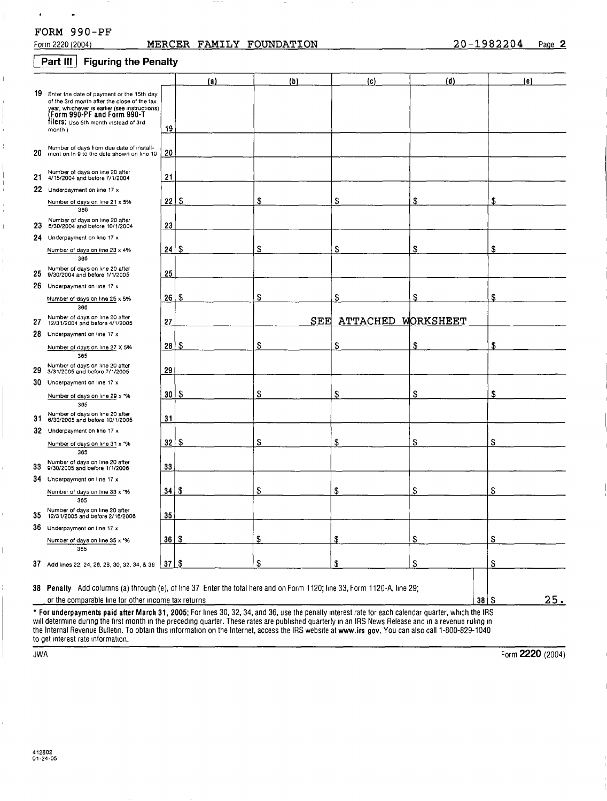## $\bullet$ FORM 990-PF

 $\bullet$ 

 $\|$ 

 $\bar{\mathbb{L}}$ 

 $\overline{1}$ 

 $\overline{1}$ 

## MERCER FAMILY FOUNDATION 20-1982204 Page 2

## **Part III** Figuring the Penalty

|     |                                                                                                                                                                                                                               |                 | (a)  | (b) | (c)                | (d) | (e)        |
|-----|-------------------------------------------------------------------------------------------------------------------------------------------------------------------------------------------------------------------------------|-----------------|------|-----|--------------------|-----|------------|
|     | 19 Enter the date of payment or the 15th day<br>of the 3rd month after the close of the tax<br>year, whichever is earlier (see instructions)<br>(Form 990-PF and Form 990-T<br>filers: Use 5th month instead of 3rd<br>month) | 19              |      |     |                    |     |            |
| 20  | Number of days from due date of install-<br>ment on In 9 to the date shown on line 19                                                                                                                                         | 20              |      |     |                    |     |            |
| 21  | Number of days on line 20 after<br>4/15/2004 and before 7/1/2004                                                                                                                                                              | 21              |      |     |                    |     |            |
|     | 22 Underpayment on line 17 x                                                                                                                                                                                                  |                 |      |     |                    |     |            |
|     | Number of days on line 21 x 5%<br>366                                                                                                                                                                                         | 22              | \$   | \$  | S                  | \$  | S          |
| 23  | Number of days on line 20 after<br>6/30/2004 and before 10/1/2004                                                                                                                                                             | 23              |      |     |                    |     |            |
|     | 24 Underpayment on line 17 x                                                                                                                                                                                                  |                 |      |     |                    |     |            |
|     | Number of days on line 23 x 4%<br>366                                                                                                                                                                                         | 24              | \$   | S   | \$                 | \$  | \$         |
| 25  | Number of days on line 20 after<br>9/30/2004 and before 1/1/2005                                                                                                                                                              | 25              |      |     |                    |     |            |
|     | 26 Underpayment on line 17 x                                                                                                                                                                                                  |                 |      |     |                    |     |            |
|     | Number of days on line 25 x 5%<br>366                                                                                                                                                                                         | 26              | \$   | \$  | \$                 | \$  | \$         |
| 27  | Number of days on line 20 after<br>12/31/2004 and before 4/1/2005                                                                                                                                                             | 27              |      | SEE | ATTACHED WORKSHEET |     |            |
|     | 28 Underpayment on line 17 x                                                                                                                                                                                                  |                 |      |     |                    |     |            |
|     | Number of days on line 27 X 5%<br>365                                                                                                                                                                                         | 28 <sup>2</sup> | -S   | \$  | S                  | \$  | \$         |
| 29  | Number of days on line 20 after<br>3/31/2005 and before 7/1/2005                                                                                                                                                              | 29              |      |     |                    |     |            |
|     | 30 Underpayment on line 17 x                                                                                                                                                                                                  |                 |      |     |                    |     |            |
|     | Number of days on line 29 x *%<br>365                                                                                                                                                                                         | 30 I            | - \$ | \$  | \$                 | S   | \$         |
| 31. | Number of days on line 20 after<br>6/30/2005 and before 10/1/2005                                                                                                                                                             | 31              |      |     |                    |     |            |
|     | 32 Underpayment on line 17 x                                                                                                                                                                                                  |                 |      |     |                    |     |            |
|     | Number of days on line 31 x *%<br>365                                                                                                                                                                                         | $32 \mid$ \$    |      | \$  | \$                 | S   | \$         |
| 33  | Number of days on line 20 after<br>9/30/2005 and before 1/1/2006                                                                                                                                                              | 33              |      |     |                    |     |            |
|     | 34 Underpayment on line 17 x                                                                                                                                                                                                  |                 |      |     |                    |     |            |
|     | Number of days on line 33 x '%<br>365                                                                                                                                                                                         | 34              | \$   | \$  | \$                 | \$  | \$         |
| 35  | Number of days on line 20 after<br>12/31/2005 and before 2/16/200                                                                                                                                                             | 35              |      |     |                    |     |            |
|     | 36 Underpayment on line 17 x                                                                                                                                                                                                  |                 |      |     |                    |     |            |
|     | Number of days on line 35 x '%<br>365                                                                                                                                                                                         | $36 \, 5$       |      | \$  | \$                 | \$  | \$         |
|     | 37 Add lines 22, 24, 26, 28, 30, 32, 34, & 36                                                                                                                                                                                 | 37 <sup>5</sup> |      | S   | \$                 | \$  | \$         |
|     | 38 Penalty Add columns (a) through (e), of line 37 Enter the total here and on Form 1120; line 33, Form 1120-A, line 29;<br>or the comparable line for other income tax returns                                               |                 |      |     |                    | 38  | 25.<br>-\$ |

will determine during the first month in the preceding quarter. These rates are published quarterly in an IRS News Release and in a revenue ruling in<br>the Internal Revenue Bulletin. To obtain this information on the Interne to get interest rate information.

JWA Form 2220 (2004)